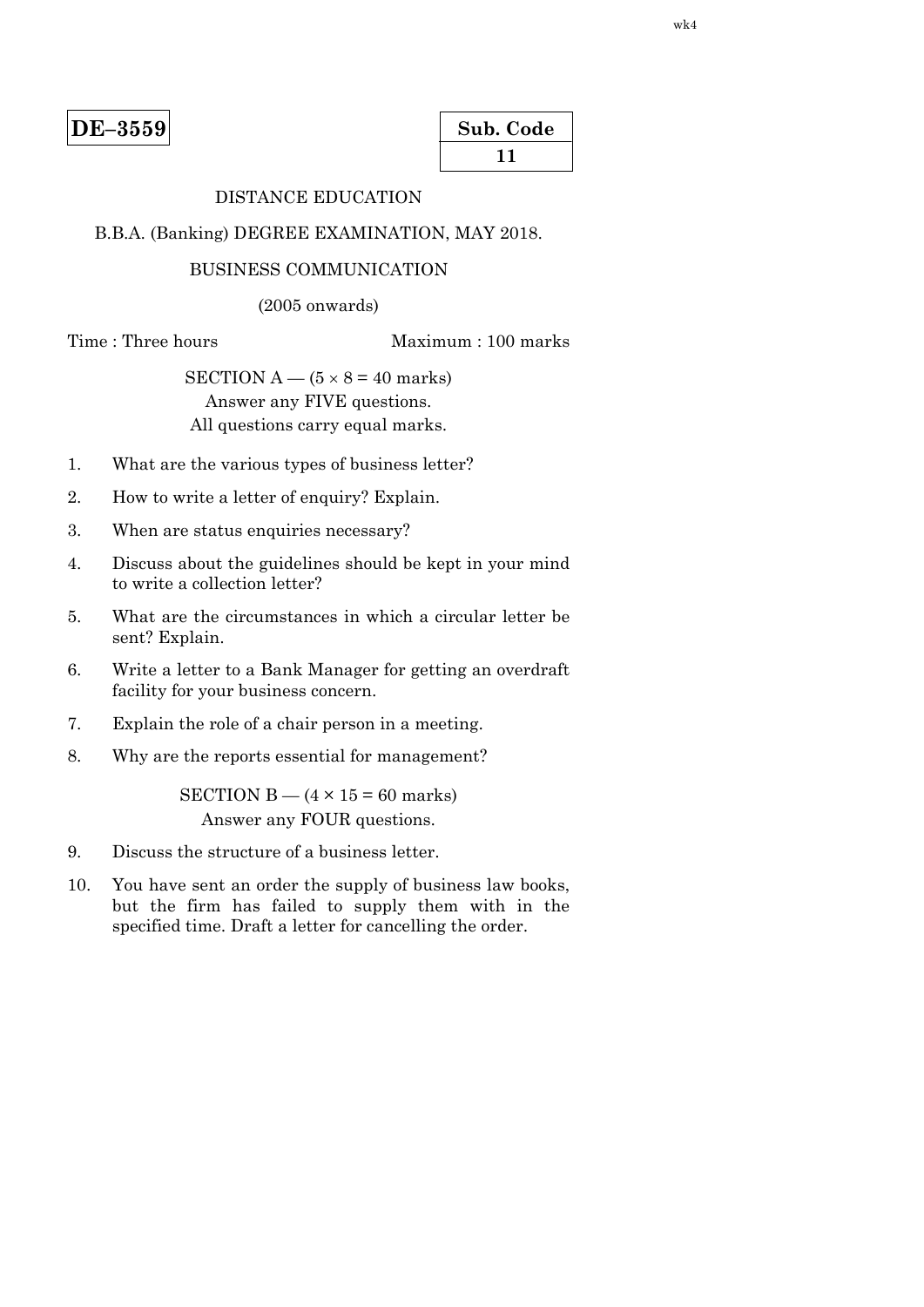| Sub. Code |  |
|-----------|--|
| 11        |  |

# DISTANCE EDUCATION

#### B.B.A. (Banking) DEGREE EXAMINATION, MAY 2018.

#### BUSINESS COMMUNICATION

(2005 onwards)

Time : Three hours Maximum : 100 marks

SECTION  $A - (5 \times 8 = 40$  marks) Answer any FIVE questions. All questions carry equal marks.

- 1. What are the various types of business letter?
- 2. How to write a letter of enquiry? Explain.
- 3. When are status enquiries necessary?
- 4. Discuss about the guidelines should be kept in your mind to write a collection letter?
- 5. What are the circumstances in which a circular letter be sent? Explain.
- 6. Write a letter to a Bank Manager for getting an overdraft facility for your business concern.
- 7. Explain the role of a chair person in a meeting.
- 8. Why are the reports essential for management?

SECTION B  $-$  (4  $\times$  15 = 60 marks) Answer any FOUR questions.

- 9. Discuss the structure of a business letter.
- 10. You have sent an order the supply of business law books, but the firm has failed to supply them with in the specified time. Draft a letter for cancelling the order.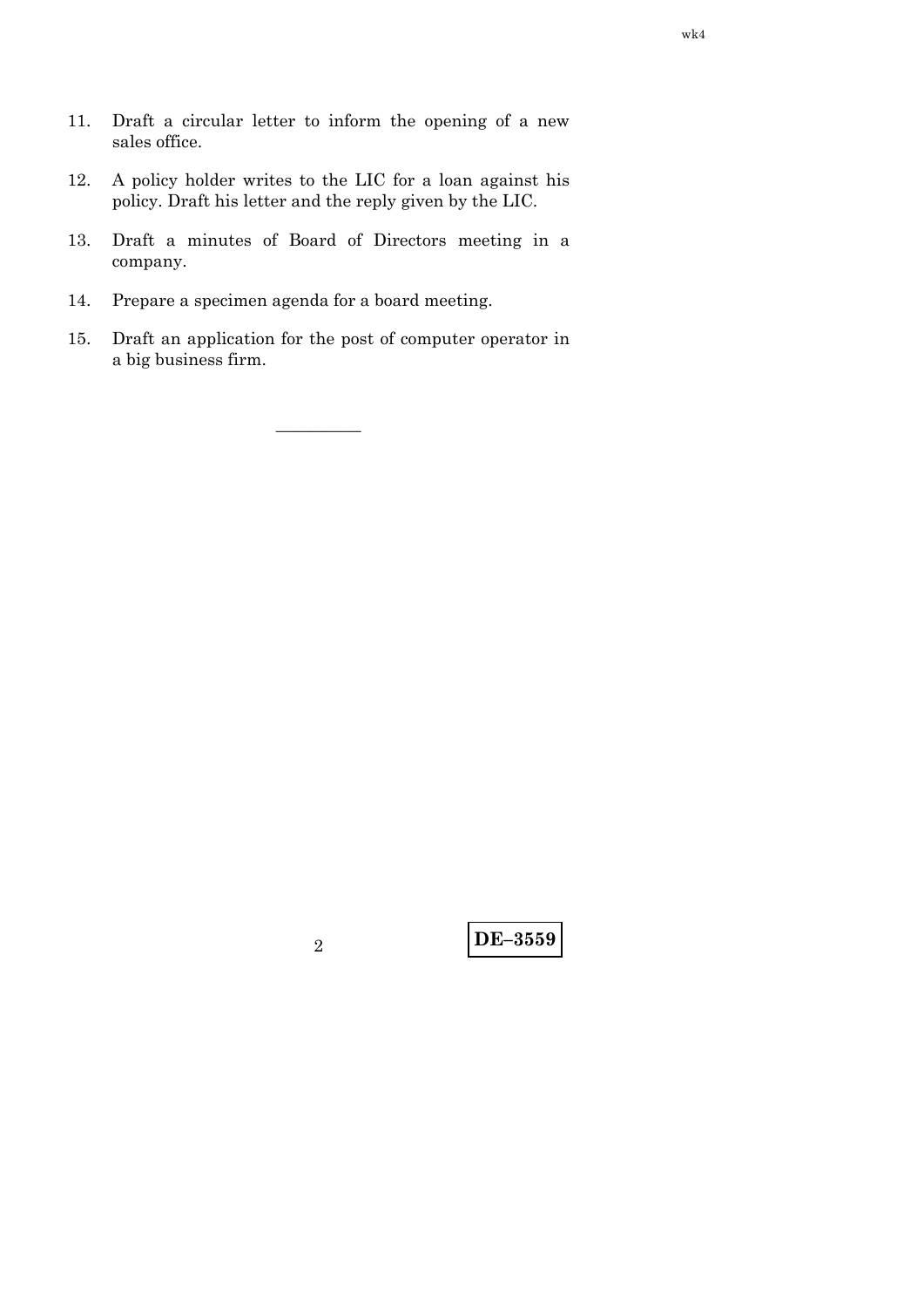- 11. Draft a circular letter to inform the opening of a new sales office.
- 12. A policy holder writes to the LIC for a loan against his policy. Draft his letter and the reply given by the LIC.
- 13. Draft a minutes of Board of Directors meeting in a company.
- 14. Prepare a specimen agenda for a board meeting.
- 15. Draft an application for the post of computer operator in a big business firm.

—————

**DE–3559** <sup>2</sup>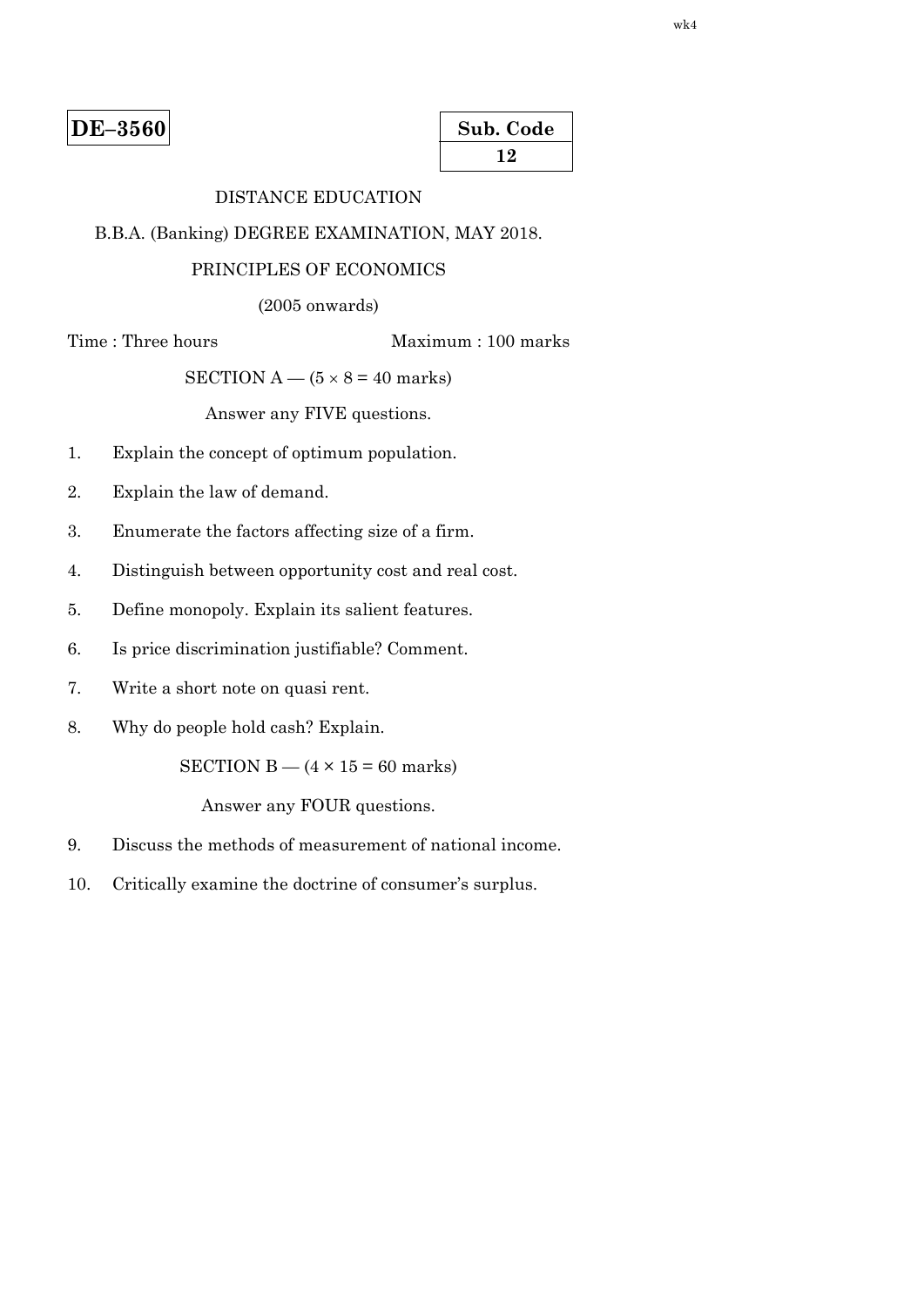| Sub. Code |  |
|-----------|--|
| 12        |  |

# DISTANCE EDUCATION

B.B.A. (Banking) DEGREE EXAMINATION, MAY 2018.

#### PRINCIPLES OF ECONOMICS

(2005 onwards)

Time : Three hours Maximum : 100 marks

SECTION  $A - (5 \times 8 = 40 \text{ marks})$ 

Answer any FIVE questions.

- 1. Explain the concept of optimum population.
- 2. Explain the law of demand.
- 3. Enumerate the factors affecting size of a firm.
- 4. Distinguish between opportunity cost and real cost.
- 5. Define monopoly. Explain its salient features.
- 6. Is price discrimination justifiable? Comment.
- 7. Write a short note on quasi rent.
- 8. Why do people hold cash? Explain.

SECTION  $B - (4 \times 15 = 60$  marks)

- 9. Discuss the methods of measurement of national income.
- 10. Critically examine the doctrine of consumer's surplus.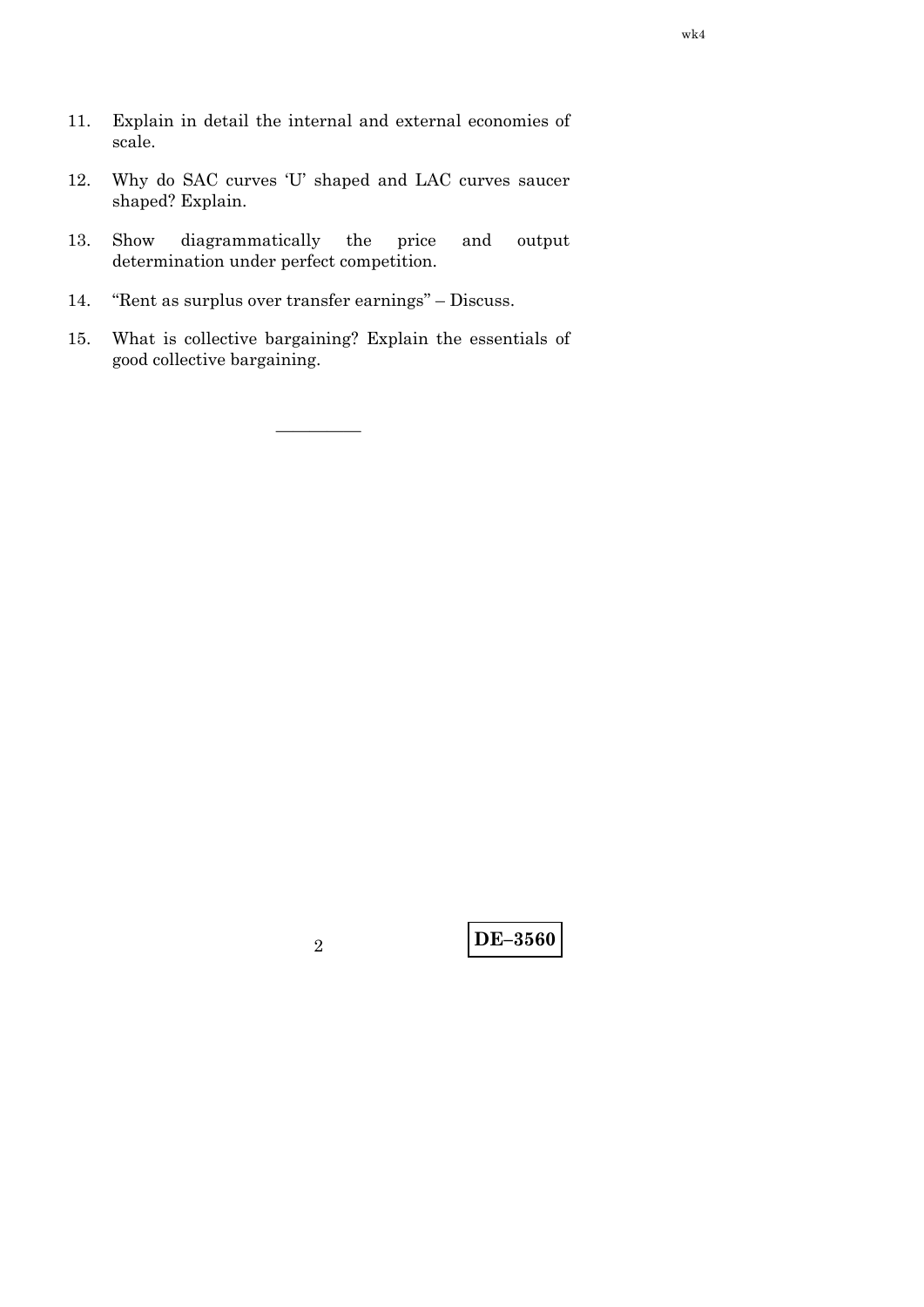- 11. Explain in detail the internal and external economies of scale.
- 12. Why do SAC curves 'U' shaped and LAC curves saucer shaped? Explain.
- 13. Show diagrammatically the price and output determination under perfect competition.
- 14. ''Rent as surplus over transfer earnings'' Discuss.
- 15. What is collective bargaining? Explain the essentials of good collective bargaining.

—————

**DE–3560** <sup>2</sup>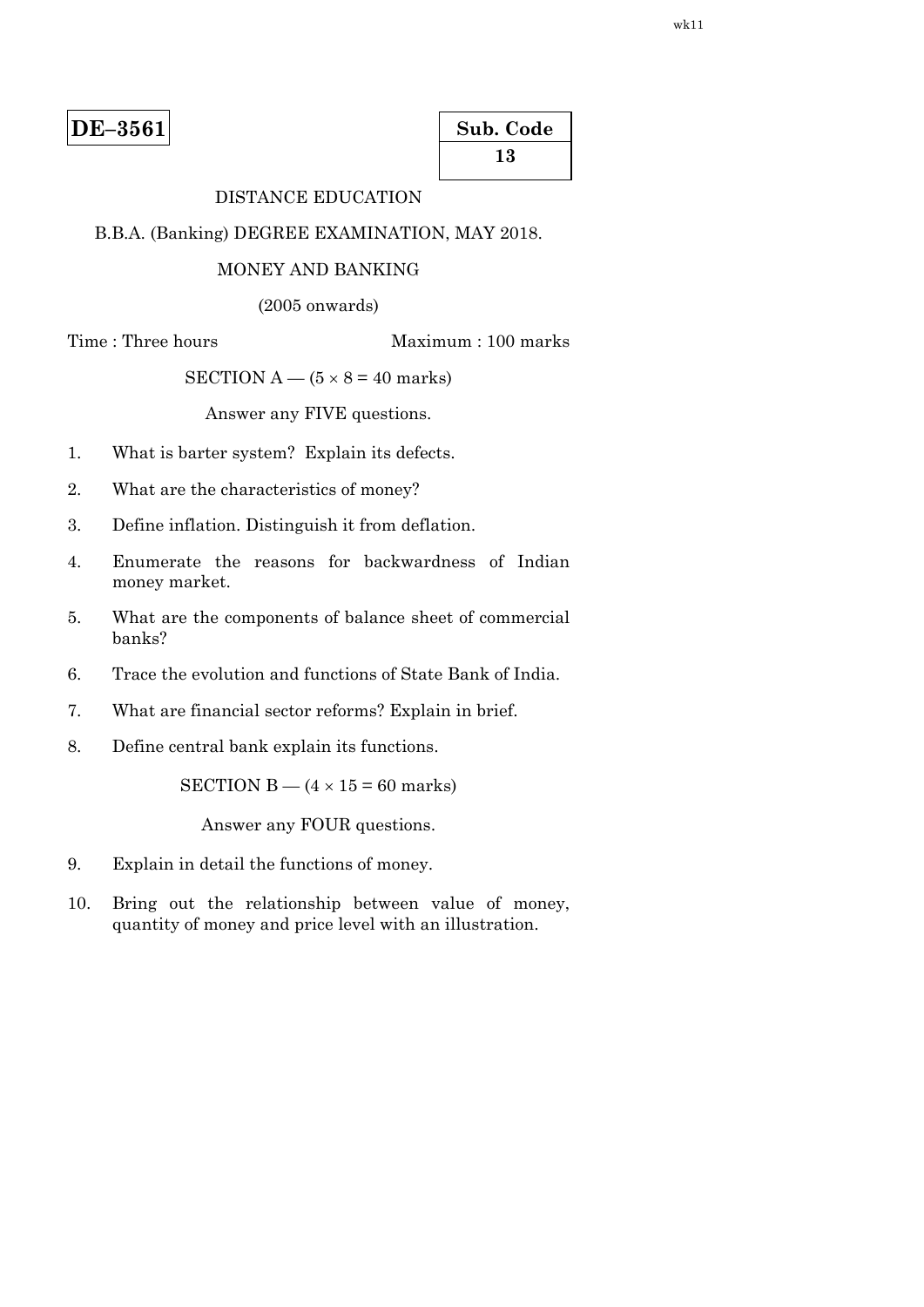| Sub. Code |
|-----------|
| 13        |

# DISTANCE EDUCATION

B.B.A. (Banking) DEGREE EXAMINATION, MAY 2018.

#### MONEY AND BANKING

(2005 onwards)

Time : Three hours Maximum : 100 marks

SECTION  $A - (5 \times 8 = 40$  marks)

Answer any FIVE questions.

- 1. What is barter system? Explain its defects.
- 2. What are the characteristics of money?
- 3. Define inflation. Distinguish it from deflation.
- 4. Enumerate the reasons for backwardness of Indian money market.
- 5. What are the components of balance sheet of commercial banks?
- 6. Trace the evolution and functions of State Bank of India.
- 7. What are financial sector reforms? Explain in brief.
- 8. Define central bank explain its functions.

SECTION B —  $(4 \times 15 = 60$  marks)

- 9. Explain in detail the functions of money.
- 10. Bring out the relationship between value of money, quantity of money and price level with an illustration.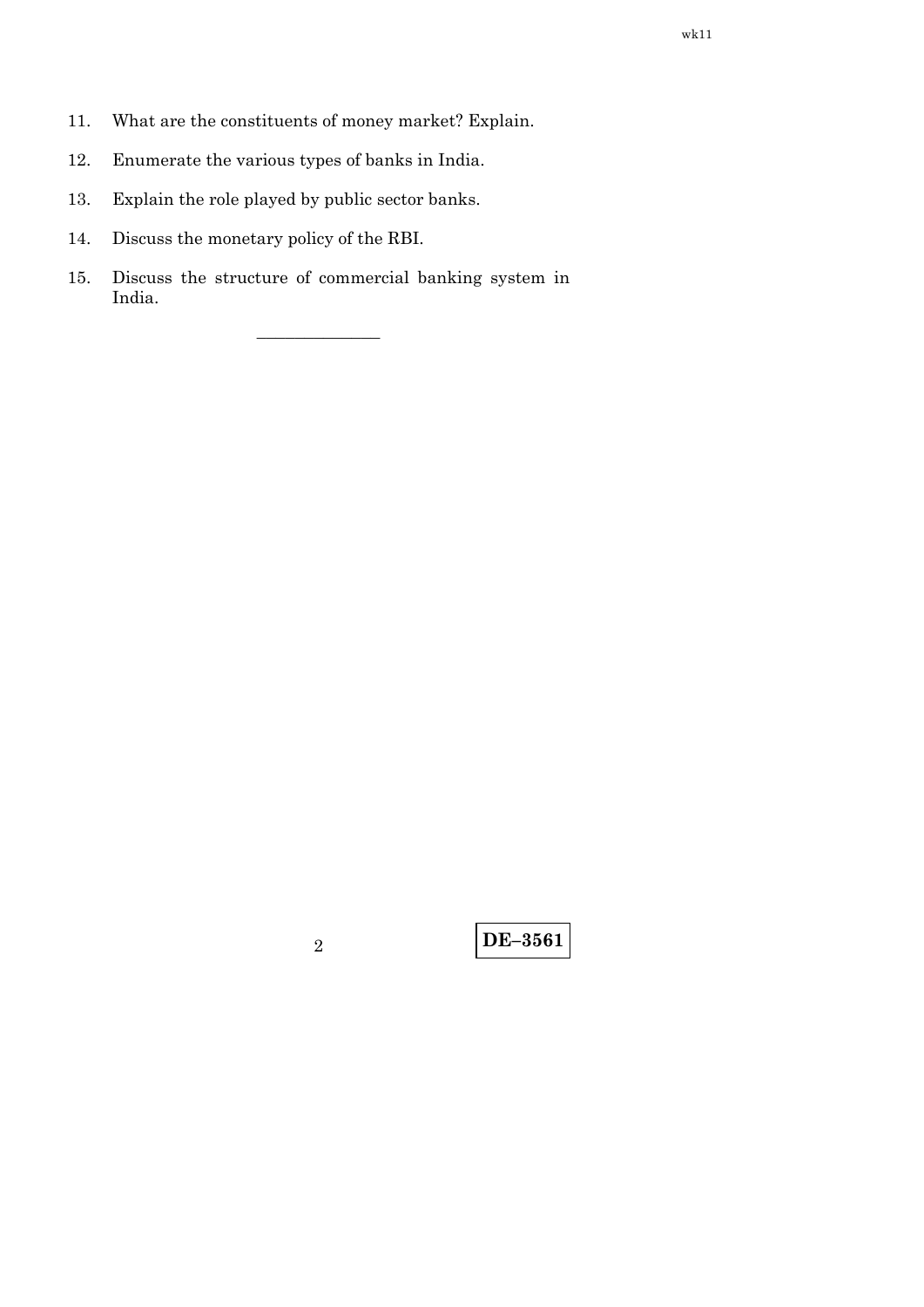- 11. What are the constituents of money market? Explain.
- 12. Enumerate the various types of banks in India.
- 13. Explain the role played by public sector banks.
- 14. Discuss the monetary policy of the RBI.
- 15. Discuss the structure of commercial banking system in India.

–––––––––––––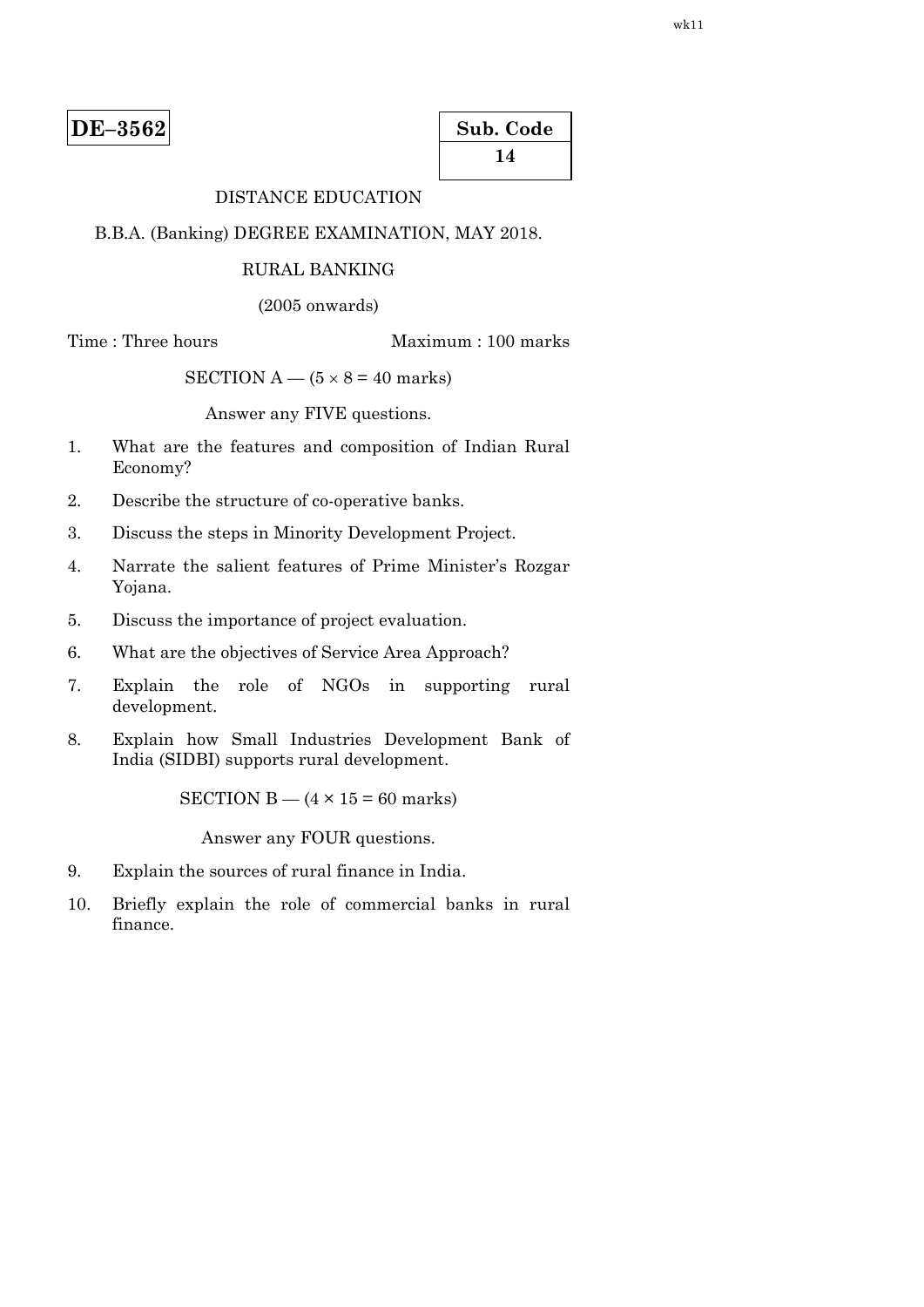| Sub. Code |  |
|-----------|--|
| 14        |  |

# DISTANCE EDUCATION

#### B.B.A. (Banking) DEGREE EXAMINATION, MAY 2018.

#### RURAL BANKING

(2005 onwards)

Time : Three hours Maximum : 100 marks

SECTION  $A - (5 \times 8 = 40$  marks)

Answer any FIVE questions.

- 1. What are the features and composition of Indian Rural Economy?
- 2. Describe the structure of co-operative banks.
- 3. Discuss the steps in Minority Development Project.
- 4. Narrate the salient features of Prime Minister's Rozgar Yojana.
- 5. Discuss the importance of project evaluation.
- 6. What are the objectives of Service Area Approach?
- 7. Explain the role of NGOs in supporting rural development.
- 8. Explain how Small Industries Development Bank of India (SIDBI) supports rural development.

SECTION B  $-$  (4  $\times$  15 = 60 marks)

- 9. Explain the sources of rural finance in India.
- 10. Briefly explain the role of commercial banks in rural finance.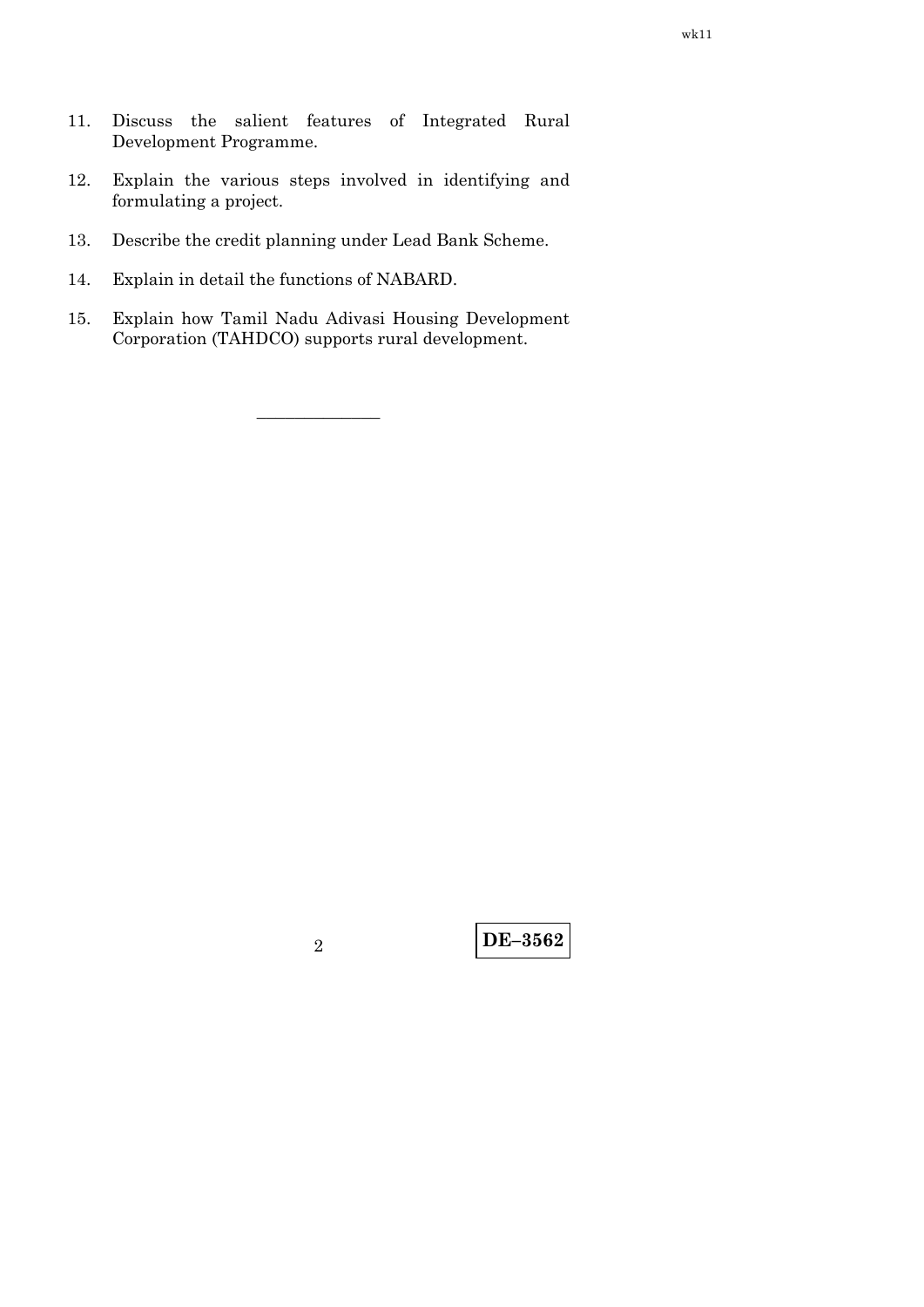- 11. Discuss the salient features of Integrated Rural Development Programme.
- 12. Explain the various steps involved in identifying and formulating a project.
- 13. Describe the credit planning under Lead Bank Scheme.
- 14. Explain in detail the functions of NABARD.
- 15. Explain how Tamil Nadu Adivasi Housing Development Corporation (TAHDCO) supports rural development.

–––––––––––––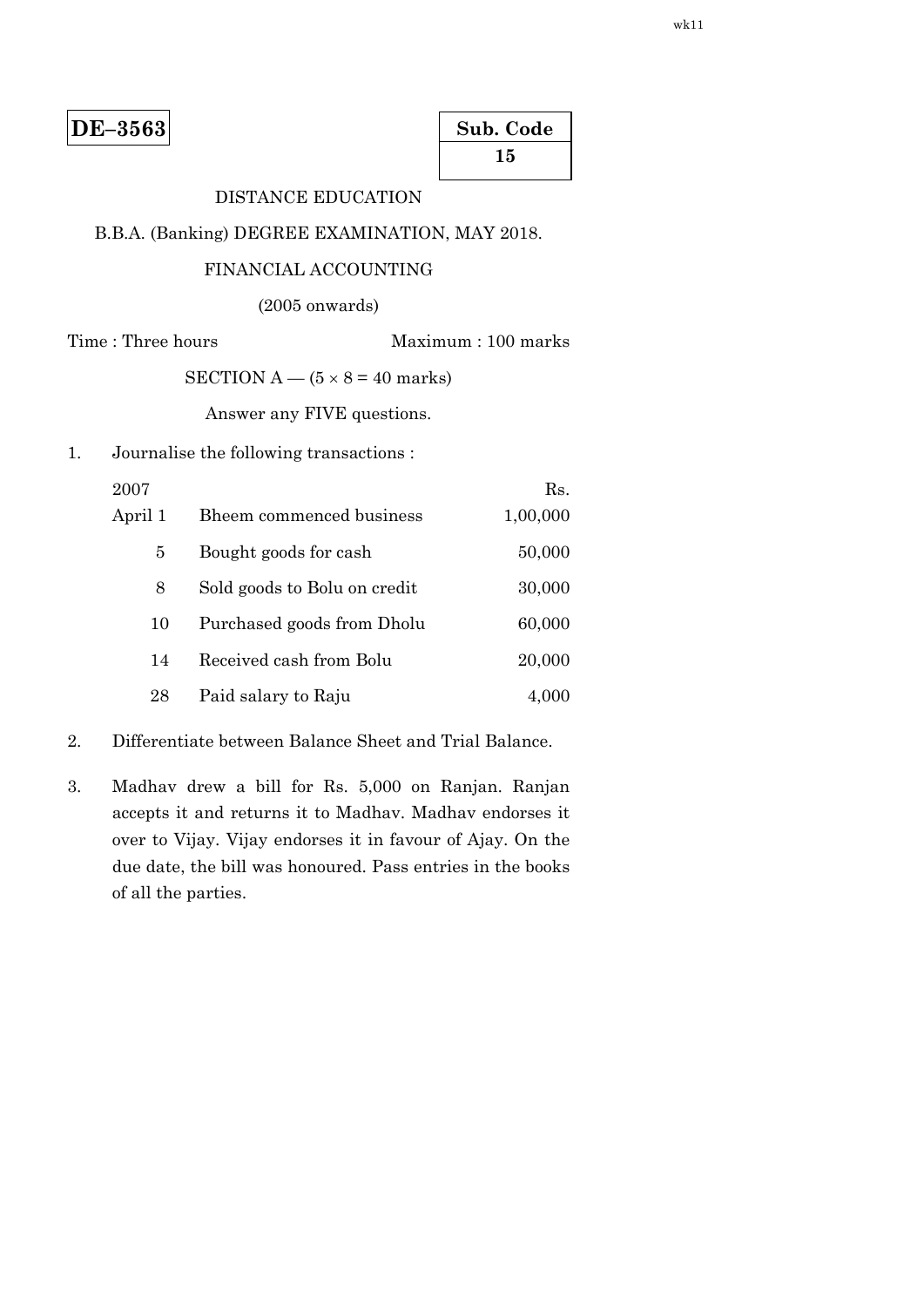| Sub. Code |  |
|-----------|--|
| 15        |  |

# DISTANCE EDUCATION

### B.B.A. (Banking) DEGREE EXAMINATION, MAY 2018.

#### FINANCIAL ACCOUNTING

(2005 onwards)

Time : Three hours Maximum : 100 marks

SECTION  $A - (5 \times 8 = 40$  marks)

Answer any FIVE questions.

1. Journalise the following transactions :

| 2007    |                              | Rs.      |
|---------|------------------------------|----------|
| April 1 | Bheem commenced business     | 1,00,000 |
| 5       | Bought goods for cash        | 50,000   |
| 8       | Sold goods to Bolu on credit | 30,000   |
| 10      | Purchased goods from Dholu   | 60,000   |
| 14      | Received cash from Bolu      | 20,000   |
| 28      | Paid salary to Raju          | 4,000    |

- 2. Differentiate between Balance Sheet and Trial Balance.
- 3. Madhav drew a bill for Rs. 5,000 on Ranjan. Ranjan accepts it and returns it to Madhav. Madhav endorses it over to Vijay. Vijay endorses it in favour of Ajay. On the due date, the bill was honoured. Pass entries in the books of all the parties.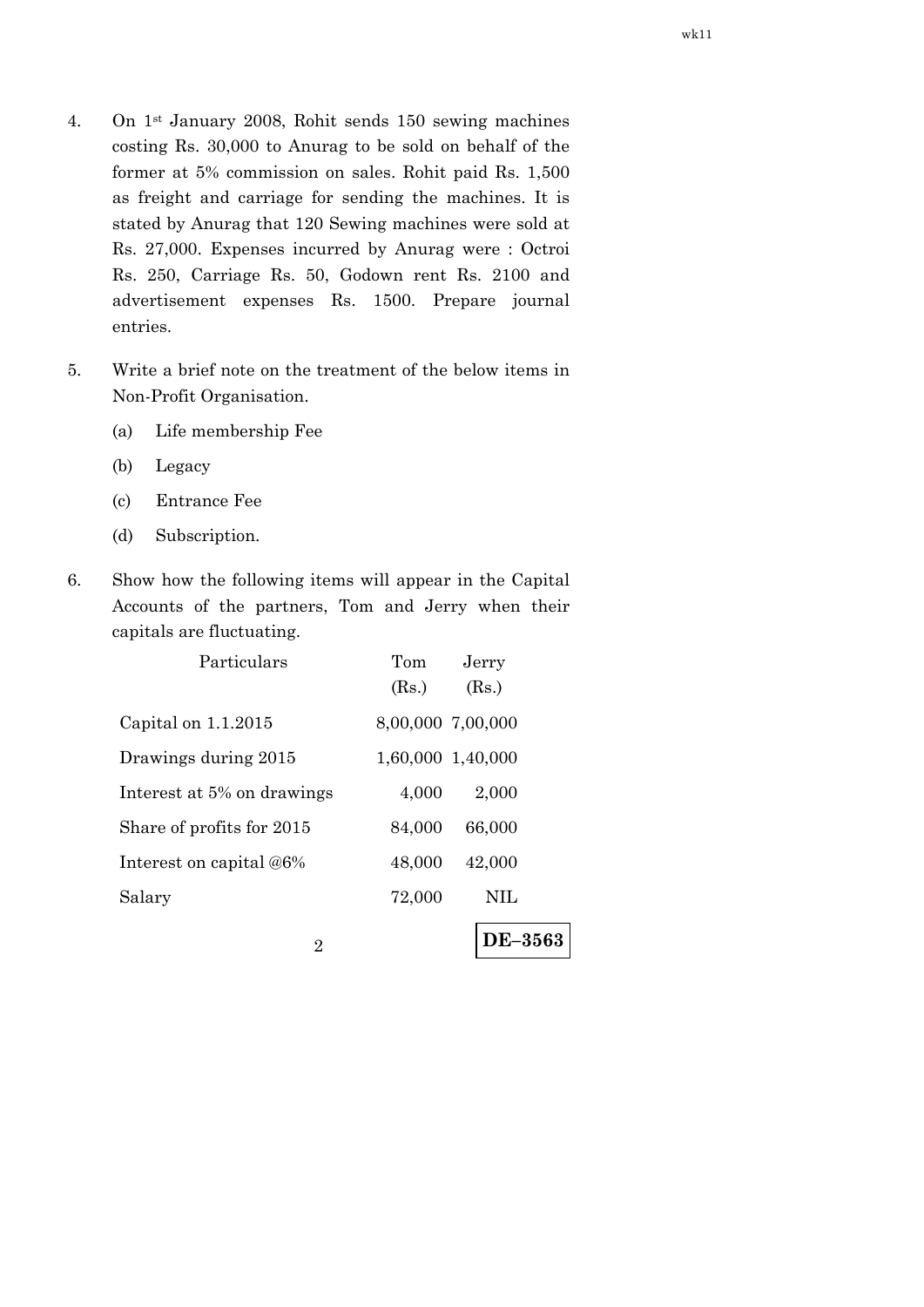- 4. On 1st January 2008, Rohit sends 150 sewing machines costing Rs. 30,000 to Anurag to be sold on behalf of the former at 5% commission on sales. Rohit paid Rs. 1,500 as freight and carriage for sending the machines. It is stated by Anurag that 120 Sewing machines were sold at Rs. 27,000. Expenses incurred by Anurag were : Octroi Rs. 250, Carriage Rs. 50, Godown rent Rs. 2100 and advertisement expenses Rs. 1500. Prepare journal entries.
- 5. Write a brief note on the treatment of the below items in Non-Profit Organisation.
	- (a) Life membership Fee
	- (b) Legacy
	- (c) Entrance Fee
	- (d) Subscription.
- 6. Show how the following items will appear in the Capital Accounts of the partners, Tom and Jerry when their capitals are fluctuating.

| Particulars                | Tom               | Jerry          |  |
|----------------------------|-------------------|----------------|--|
|                            | (Rs.)             | (Rs.)          |  |
| Capital on $1.1.2015$      | 8,00,000 7,00,000 |                |  |
| Drawings during 2015       | 1,60,000 1,40,000 |                |  |
| Interest at 5% on drawings | 4,000             | 2,000          |  |
| Share of profits for 2015  | 84,000            | 66,000         |  |
| Interest on capital @6%    | 48,000            | 42,000         |  |
| Salary                     | 72,000            | NIL            |  |
| 2                          |                   | <b>DE–3563</b> |  |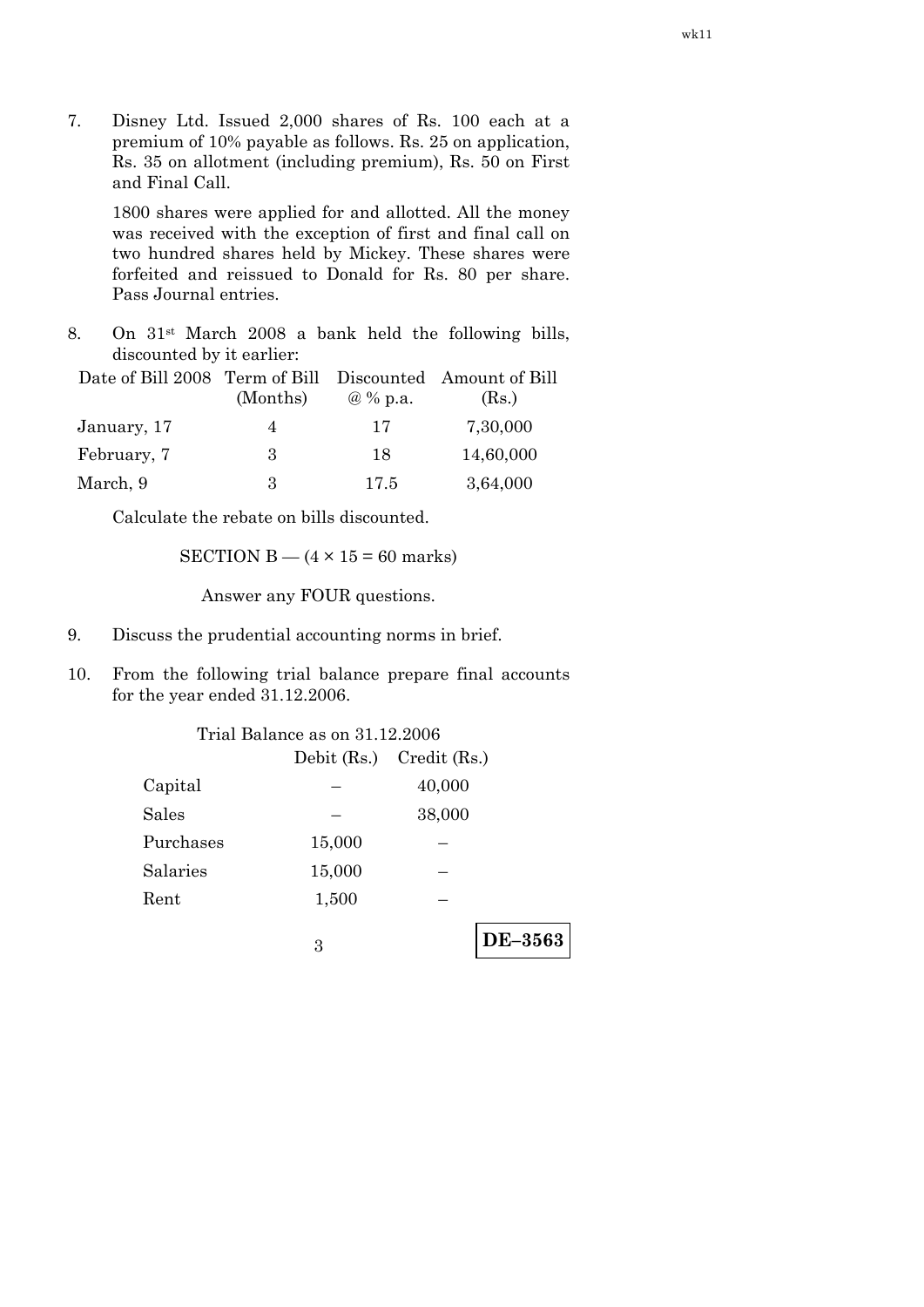7. Disney Ltd. Issued 2,000 shares of Rs. 100 each at a premium of 10% payable as follows. Rs. 25 on application, Rs. 35 on allotment (including premium), Rs. 50 on First and Final Call.

 1800 shares were applied for and allotted. All the money was received with the exception of first and final call on two hundred shares held by Mickey. These shares were forfeited and reissued to Donald for Rs. 80 per share. Pass Journal entries.

8. On 31st March 2008 a bank held the following bills, discounted by it earlier:

| Date of Bill 2008 Term of Bill Discounted Amount of Bill |                |          |           |
|----------------------------------------------------------|----------------|----------|-----------|
|                                                          | (Months)       | @ % p.a. | (Rs.)     |
| January, 17                                              | $\overline{4}$ | 17       | 7,30,000  |
| February, 7                                              | 3              | 18       | 14,60,000 |
| March, 9                                                 | З              | 17.5     | 3,64,000  |

Calculate the rebate on bills discounted.

SECTION  $B - (4 \times 15 = 60$  marks)

- 9. Discuss the prudential accounting norms in brief.
- 10. From the following trial balance prepare final accounts for the year ended 31.12.2006.

| Trial Balance as on 31.12.2006 |                              |        |         |
|--------------------------------|------------------------------|--------|---------|
|                                | Debit $(Rs.)$ Credit $(Rs.)$ |        |         |
| Capital                        |                              | 40,000 |         |
| <b>Sales</b>                   |                              | 38,000 |         |
| Purchases                      | 15,000                       |        |         |
| Salaries                       | 15,000                       |        |         |
| Rent                           | 1,500                        |        |         |
|                                | З                            |        | DE-3563 |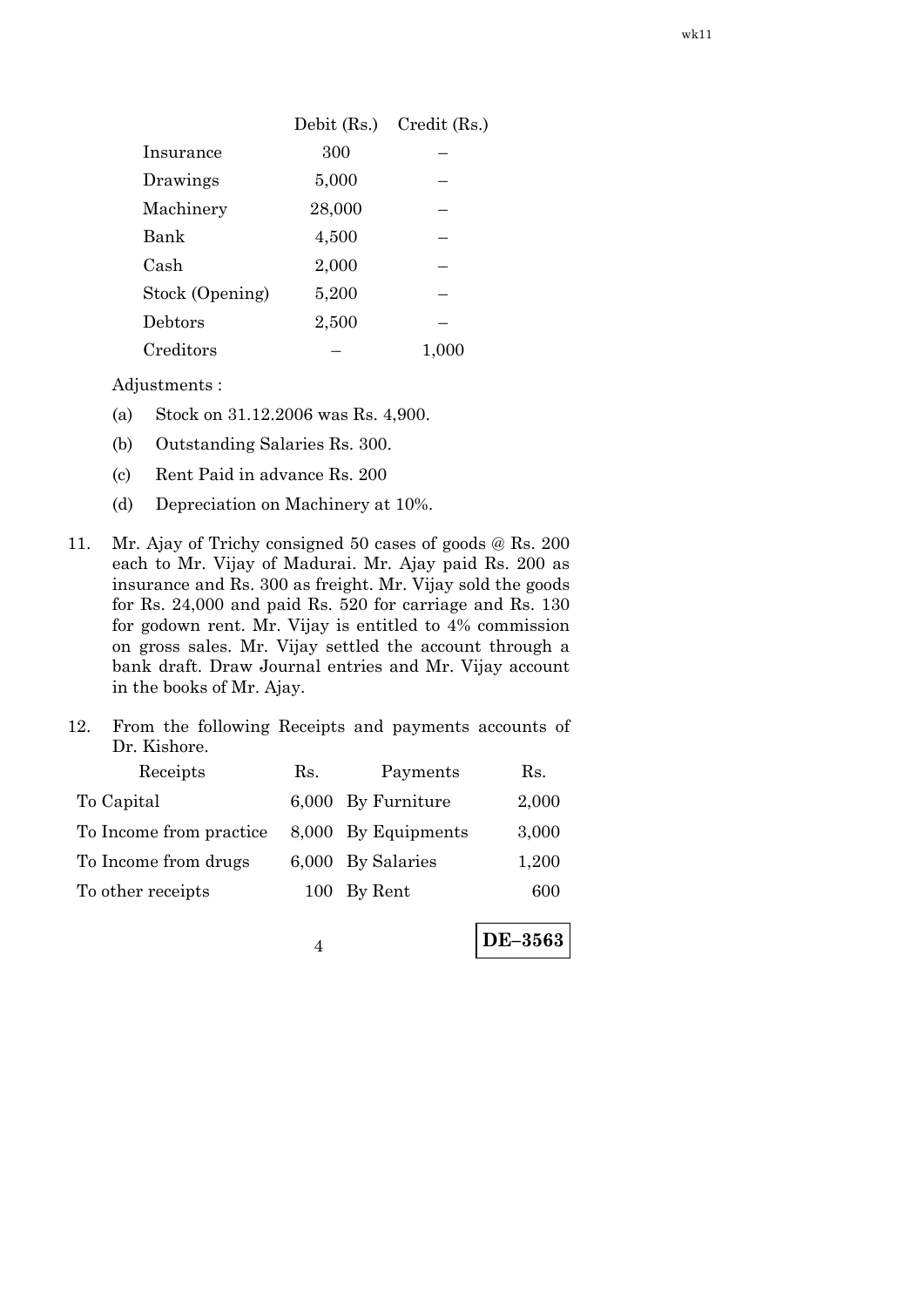|                 | Debit $(Rs.)$ | $Credit$ (Rs.) |
|-----------------|---------------|----------------|
| Insurance       | 300           |                |
| Drawings        | 5,000         |                |
| Machinery       | 28,000        |                |
| Bank            | 4,500         |                |
| Cash            | 2,000         |                |
| Stock (Opening) | 5,200         |                |
| Debtors         | 2,500         |                |
| Creditors       |               | 1,000          |

Adjustments :

- (a) Stock on 31.12.2006 was Rs. 4,900.
- (b) Outstanding Salaries Rs. 300.
- (c) Rent Paid in advance Rs. 200
- (d) Depreciation on Machinery at 10%.
- 11. Mr. Ajay of Trichy consigned 50 cases of goods @ Rs. 200 each to Mr. Vijay of Madurai. Mr. Ajay paid Rs. 200 as insurance and Rs. 300 as freight. Mr. Vijay sold the goods for Rs. 24,000 and paid Rs. 520 for carriage and Rs. 130 for godown rent. Mr. Vijay is entitled to 4% commission on gross sales. Mr. Vijay settled the account through a bank draft. Draw Journal entries and Mr. Vijay account in the books of Mr. Ajay.
- 12. From the following Receipts and payments accounts of Dr. Kishore.

| Receipts                | Rs. | Payments            | Rs.            |
|-------------------------|-----|---------------------|----------------|
| To Capital              |     | 6,000 By Furniture  | 2,000          |
| To Income from practice |     | 8,000 By Equipments | 3,000          |
| To Income from drugs    |     | 6,000 By Salaries   | 1,200          |
| To other receipts       |     | 100 By Rent         | 600            |
|                         |     |                     |                |
|                         |     |                     | <b>DE-3563</b> |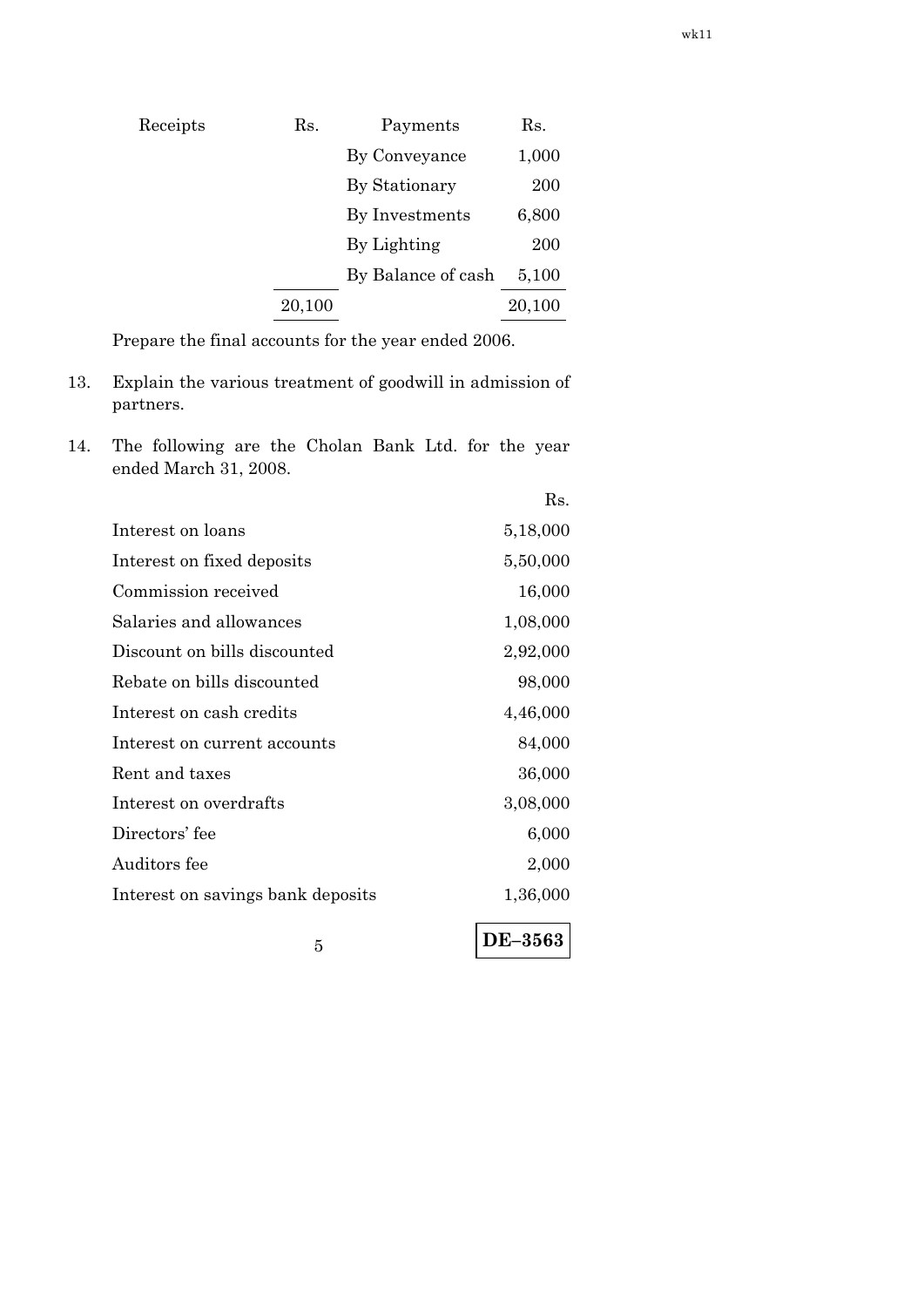| Receipts | Rs.    | Payments           | Rs.    |
|----------|--------|--------------------|--------|
|          |        | By Conveyance      | 1,000  |
|          |        | By Stationary      | 200    |
|          |        | By Investments     | 6,800  |
|          |        | By Lighting        | 200    |
|          |        | By Balance of cash | 5,100  |
|          | 20,100 |                    | 20,100 |
|          |        |                    |        |

Prepare the final accounts for the year ended 2006.

- 13. Explain the various treatment of goodwill in admission of partners.
- 14. The following are the Cholan Bank Ltd. for the year ended March 31, 2008.

|                                   | Rs.      |
|-----------------------------------|----------|
| Interest on loans                 | 5,18,000 |
| Interest on fixed deposits        | 5,50,000 |
| Commission received               | 16,000   |
| Salaries and allowances           | 1,08,000 |
| Discount on bills discounted      | 2,92,000 |
| Rebate on bills discounted        | 98,000   |
| Interest on cash credits          | 4,46,000 |
| Interest on current accounts      | 84,000   |
| Rent and taxes                    | 36,000   |
| Interest on overdrafts            | 3,08,000 |
| Directors' fee                    | 6,000    |
| Auditors fee                      | 2,000    |
| Interest on savings bank deposits | 1,36,000 |
| 5                                 | DE-3563  |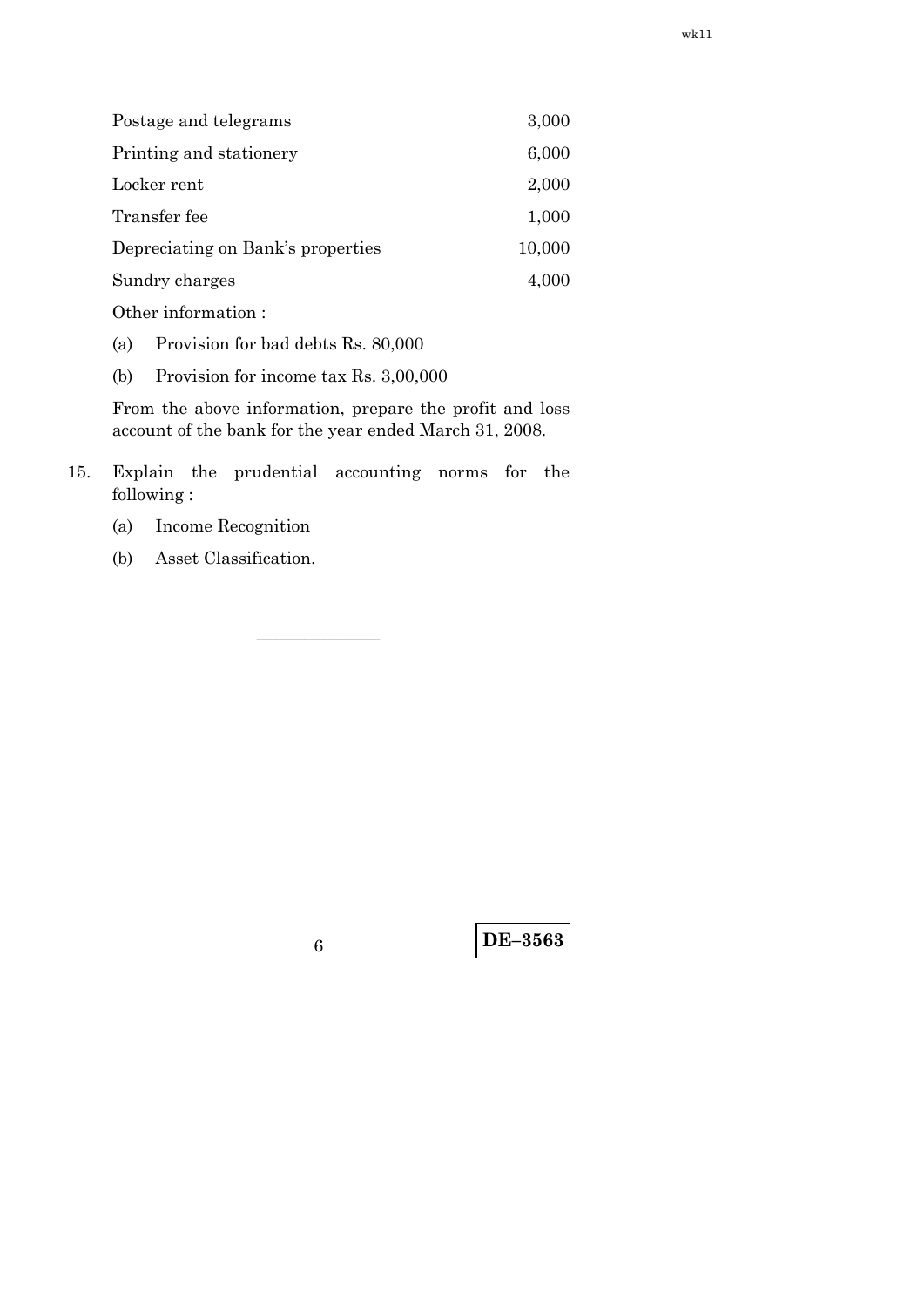| Postage and telegrams             | 3,000  |
|-----------------------------------|--------|
| Printing and stationery           | 6,000  |
| Locker rent                       | 2,000  |
| Transfer fee                      | 1,000  |
| Depreciating on Bank's properties | 10,000 |
| Sundry charges                    | 4,000  |
| Other information:                |        |

(a) Provision for bad debts Rs. 80,000

(b) Provision for income tax Rs. 3,00,000

 From the above information, prepare the profit and loss account of the bank for the year ended March 31, 2008.

15. Explain the prudential accounting norms for the following :

–––––––––––––

- (a) Income Recognition
- (b) Asset Classification.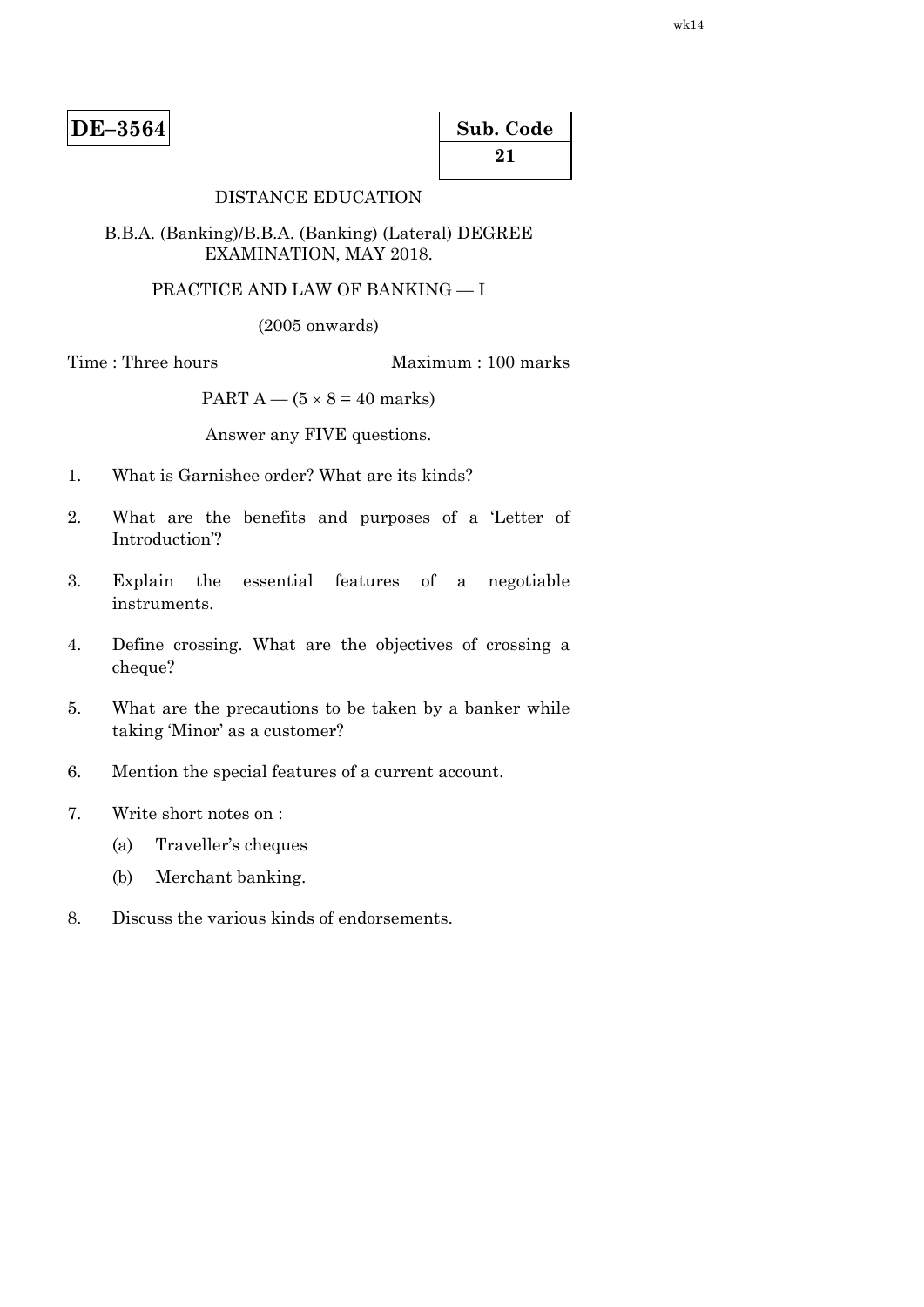| Sub. Code |  |
|-----------|--|
| 21        |  |

# DISTANCE EDUCATION

#### B.B.A. (Banking)/B.B.A. (Banking) (Lateral) DEGREE EXAMINATION, MAY 2018.

### PRACTICE AND LAW OF BANKING — I

(2005 onwards)

Time : Three hours Maximum : 100 marks

PART  $A - (5 \times 8 = 40$  marks)

Answer any FIVE questions.

- 1. What is Garnishee order? What are its kinds?
- 2. What are the benefits and purposes of a 'Letter of Introduction'?
- 3. Explain the essential features of a negotiable instruments.
- 4. Define crossing. What are the objectives of crossing a cheque?
- 5. What are the precautions to be taken by a banker while taking 'Minor' as a customer?
- 6. Mention the special features of a current account.
- 7. Write short notes on :
	- (a) Traveller's cheques
	- (b) Merchant banking.
- 8. Discuss the various kinds of endorsements.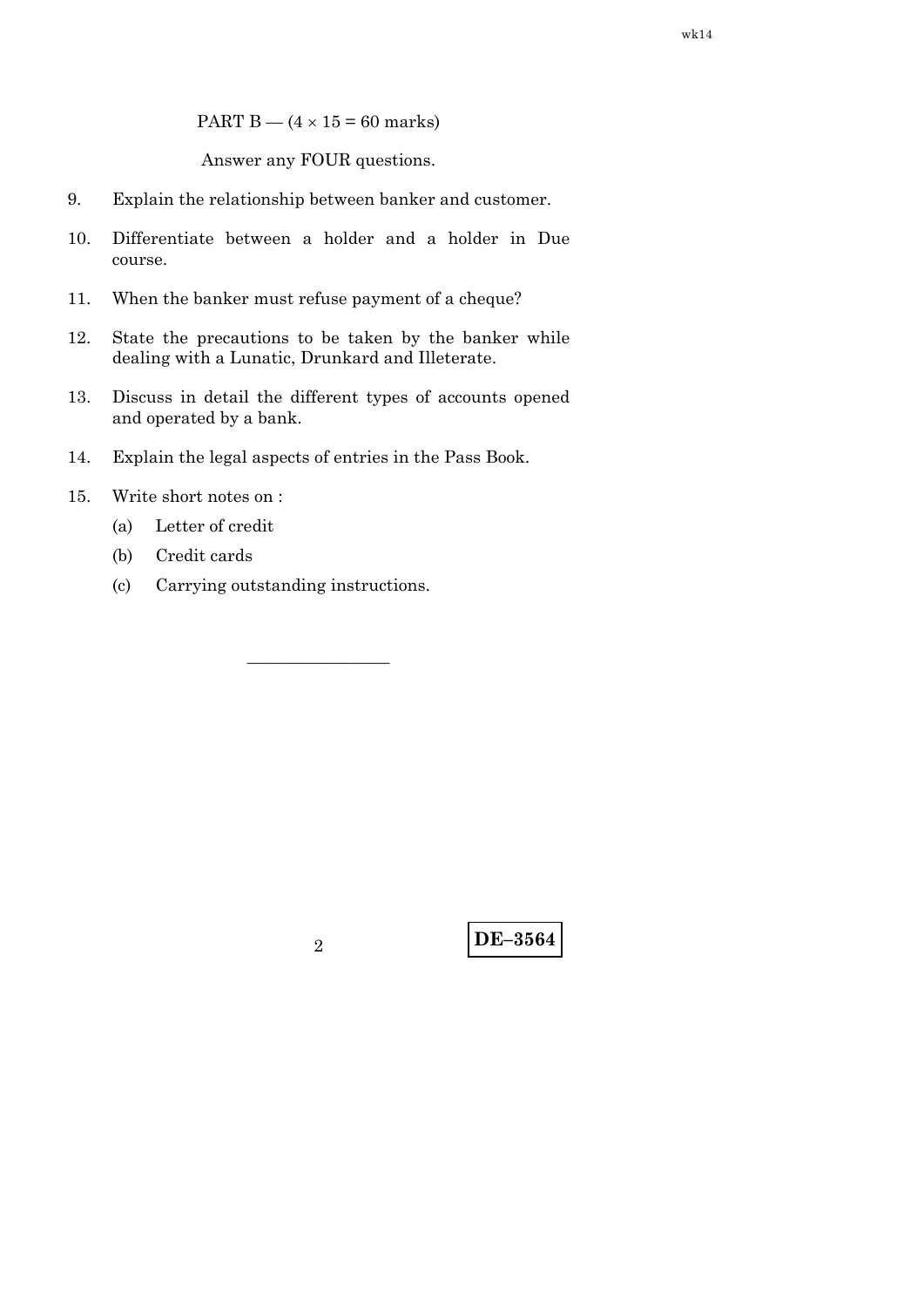PART B —  $(4 \times 15 = 60$  marks)

Answer any FOUR questions.

- 9. Explain the relationship between banker and customer.
- 10. Differentiate between a holder and a holder in Due course.
- 11. When the banker must refuse payment of a cheque?
- 12. State the precautions to be taken by the banker while dealing with a Lunatic, Drunkard and Illeterate.
- 13. Discuss in detail the different types of accounts opened and operated by a bank.

–––––––––––––––

- 14. Explain the legal aspects of entries in the Pass Book.
- 15. Write short notes on :
	- (a) Letter of credit
	- (b) Credit cards
	- (c) Carrying outstanding instructions.

**DE–3564** <sup>2</sup>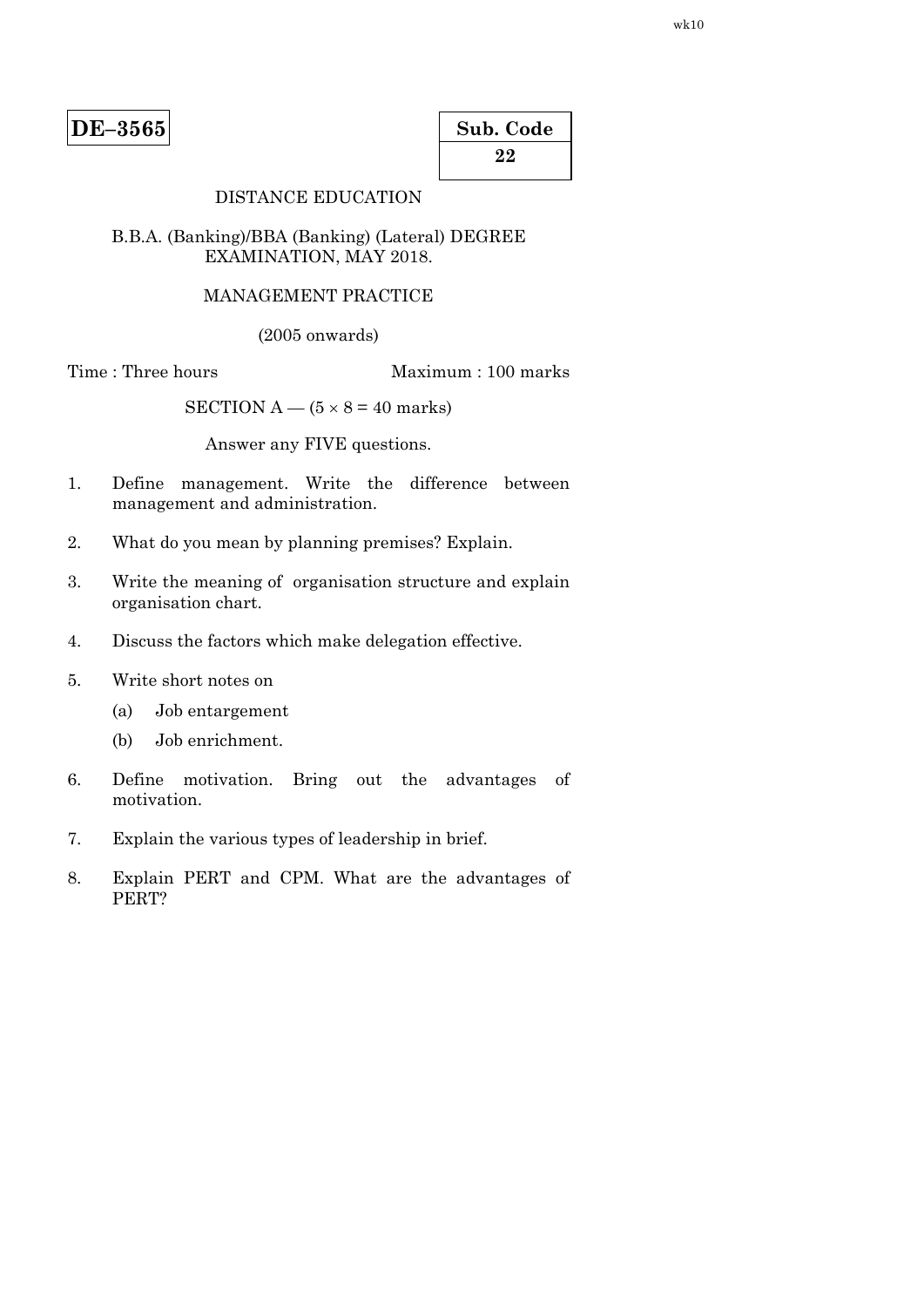| Sub. Code |  |
|-----------|--|
| 22        |  |

# DISTANCE EDUCATION

#### B.B.A. (Banking)/BBA (Banking) (Lateral) DEGREE EXAMINATION, MAY 2018.

#### MANAGEMENT PRACTICE

(2005 onwards)

Time : Three hours Maximum : 100 marks

SECTION  $A - (5 \times 8 = 40$  marks)

Answer any FIVE questions.

- 1. Define management. Write the difference between management and administration.
- 2. What do you mean by planning premises? Explain.
- 3. Write the meaning of organisation structure and explain organisation chart.
- 4. Discuss the factors which make delegation effective.
- 5. Write short notes on
	- (a) Job entargement
	- (b) Job enrichment.
- 6. Define motivation. Bring out the advantages of motivation.
- 7. Explain the various types of leadership in brief.
- 8. Explain PERT and CPM. What are the advantages of PERT?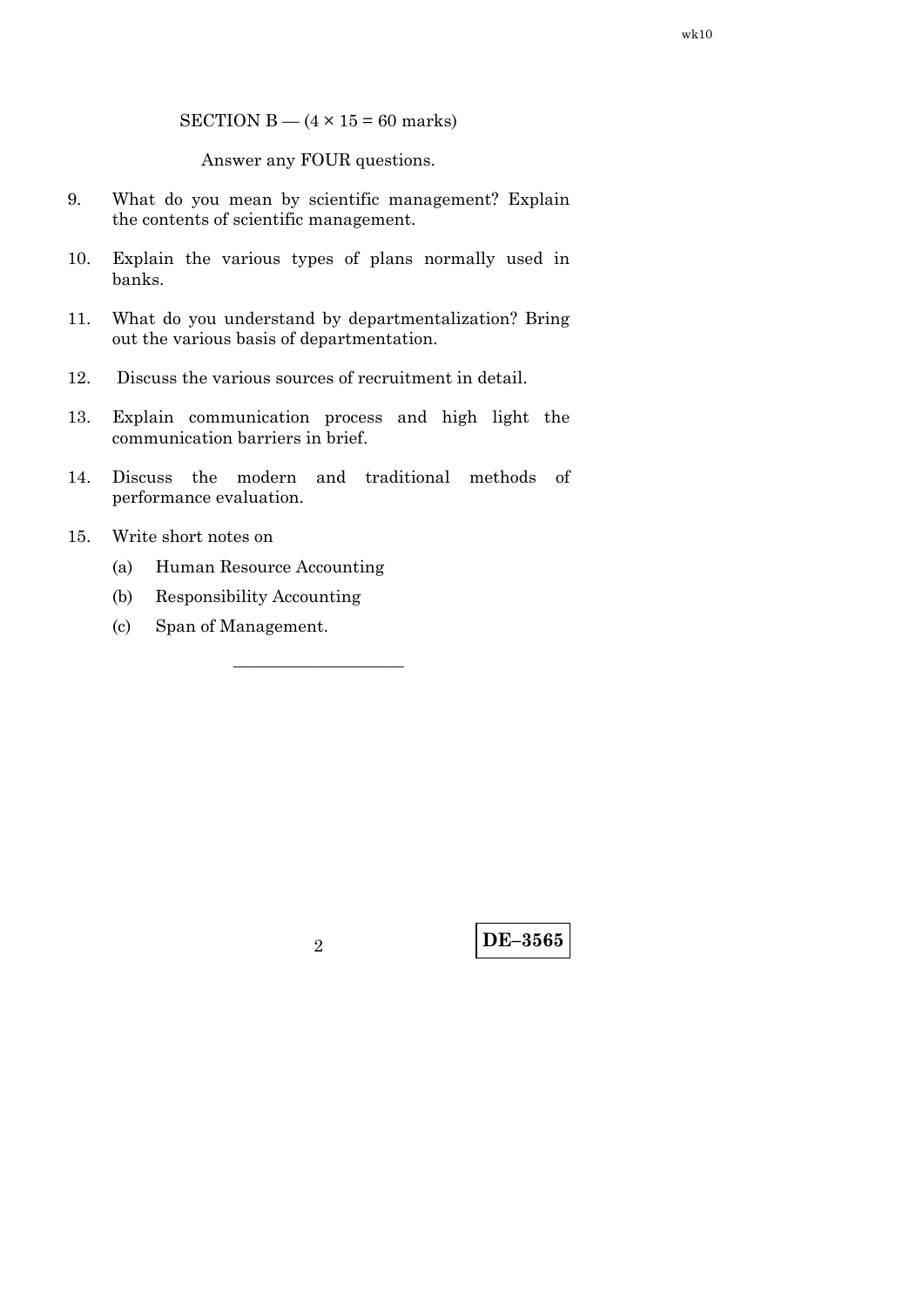SECTION B  $-$  (4  $\times$  15 = 60 marks)

Answer any FOUR questions.

- 9. What do you mean by scientific management? Explain the contents of scientific management.
- 10. Explain the various types of plans normally used in banks.
- 11. What do you understand by departmentalization? Bring out the various basis of departmentation.
- 12. Discuss the various sources of recruitment in detail.
- 13. Explain communication process and high light the communication barriers in brief.
- 14. Discuss the modern and traditional methods of performance evaluation.

——————————

- 15. Write short notes on
	- (a) Human Resource Accounting
	- (b) Responsibility Accounting
	- (c) Span of Management.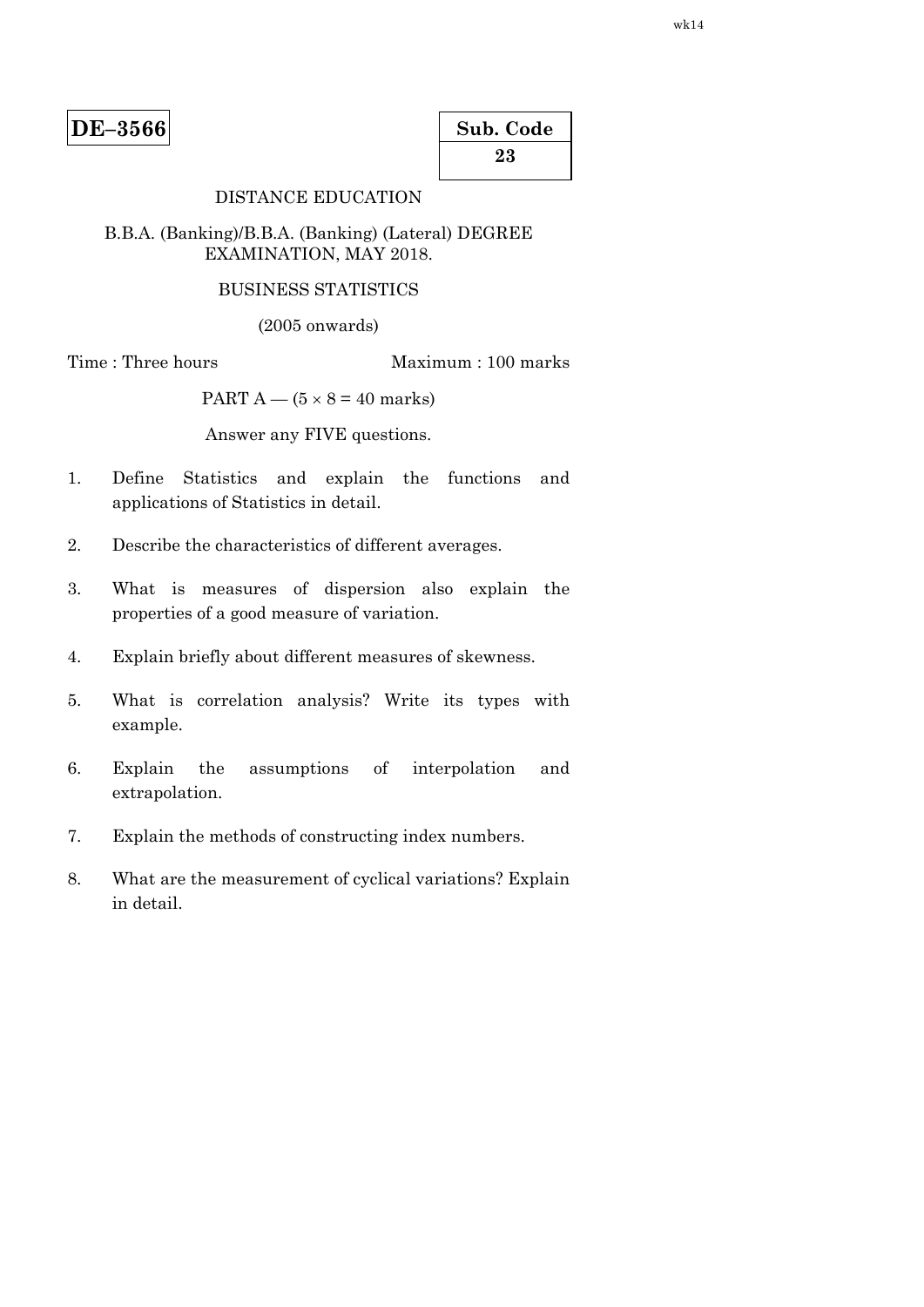| Sub. Code |  |
|-----------|--|
| 23        |  |

# DISTANCE EDUCATION

### B.B.A. (Banking)/B.B.A. (Banking) (Lateral) DEGREE EXAMINATION, MAY 2018.

#### BUSINESS STATISTICS

(2005 onwards)

Time : Three hours Maximum : 100 marks

PART  $A - (5 \times 8 = 40$  marks)

Answer any FIVE questions.

- 1. Define Statistics and explain the functions and applications of Statistics in detail.
- 2. Describe the characteristics of different averages.
- 3. What is measures of dispersion also explain the properties of a good measure of variation.
- 4. Explain briefly about different measures of skewness.
- 5. What is correlation analysis? Write its types with example.
- 6. Explain the assumptions of interpolation and extrapolation.
- 7. Explain the methods of constructing index numbers.
- 8. What are the measurement of cyclical variations? Explain in detail.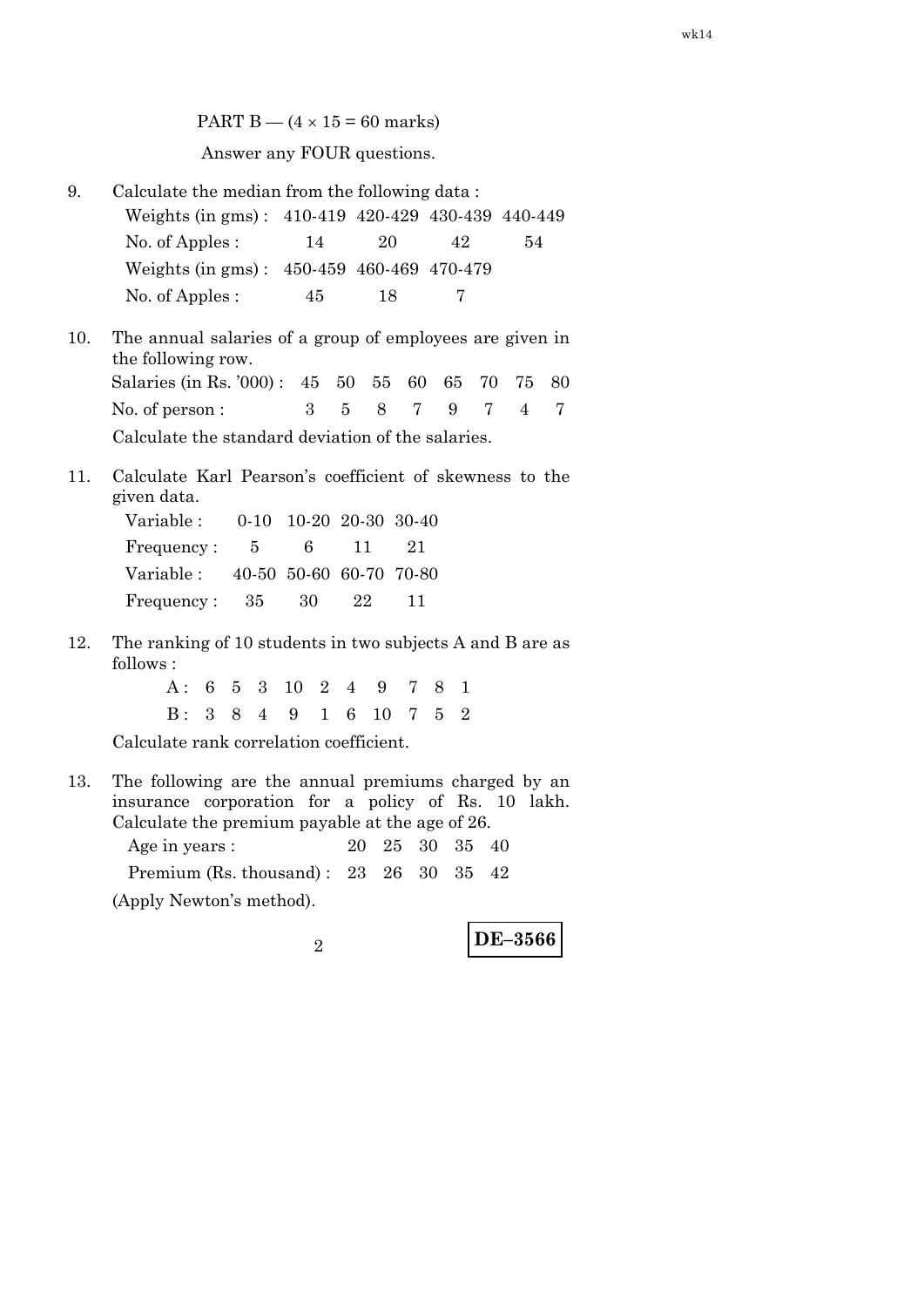PART B —  $(4 \times 15 = 60$  marks) Answer any FOUR questions.

- 9. Calculate the median from the following data : Weights (in gms) : 410-419 420-429 430-439 440-449 No. of Apples : 14 20 42 54 Weights (in gms) : 450-459 460-469 470-479 No. of Apples : 45 18 7
- 10. The annual salaries of a group of employees are given in the following row. Salaries (in Rs. '000) : 45 50 55 60 65 70 75 80 No. of person :  $\begin{array}{cccccc} 3 & 5 & 8 & 7 & 9 & 7 & 4 & 7 \end{array}$ Calculate the standard deviation of the salaries.
- 11. Calculate Karl Pearson's coefficient of skewness to the given data.

| Variable :                        |  | $0-10$ 10-20 20-30 30-40 |      |
|-----------------------------------|--|--------------------------|------|
| Frequency: 5                      |  | 6 11                     | - 21 |
| Variable: 40-50 50-60 60-70 70-80 |  |                          |      |
| Frequency: $35 \t 30 \t 22$       |  |                          | 11   |

12. The ranking of 10 students in two subjects A and B are as follows :

> A : 6 5 3 10 2 4 9 7 8 1 B : 3 8 4 9 1 6 10 7 5 2

Calculate rank correlation coefficient.

13. The following are the annual premiums charged by an insurance corporation for a policy of Rs. 10 lakh. Calculate the premium payable at the age of 26.

| Age in years :                                                   |  | 20 25 30 35 40 |  |
|------------------------------------------------------------------|--|----------------|--|
| Premium (Rs. thousand): $23 \quad 26 \quad 30 \quad 35 \quad 42$ |  |                |  |
| (Apply Newton's method).                                         |  |                |  |

**DE–3566** <sup>2</sup>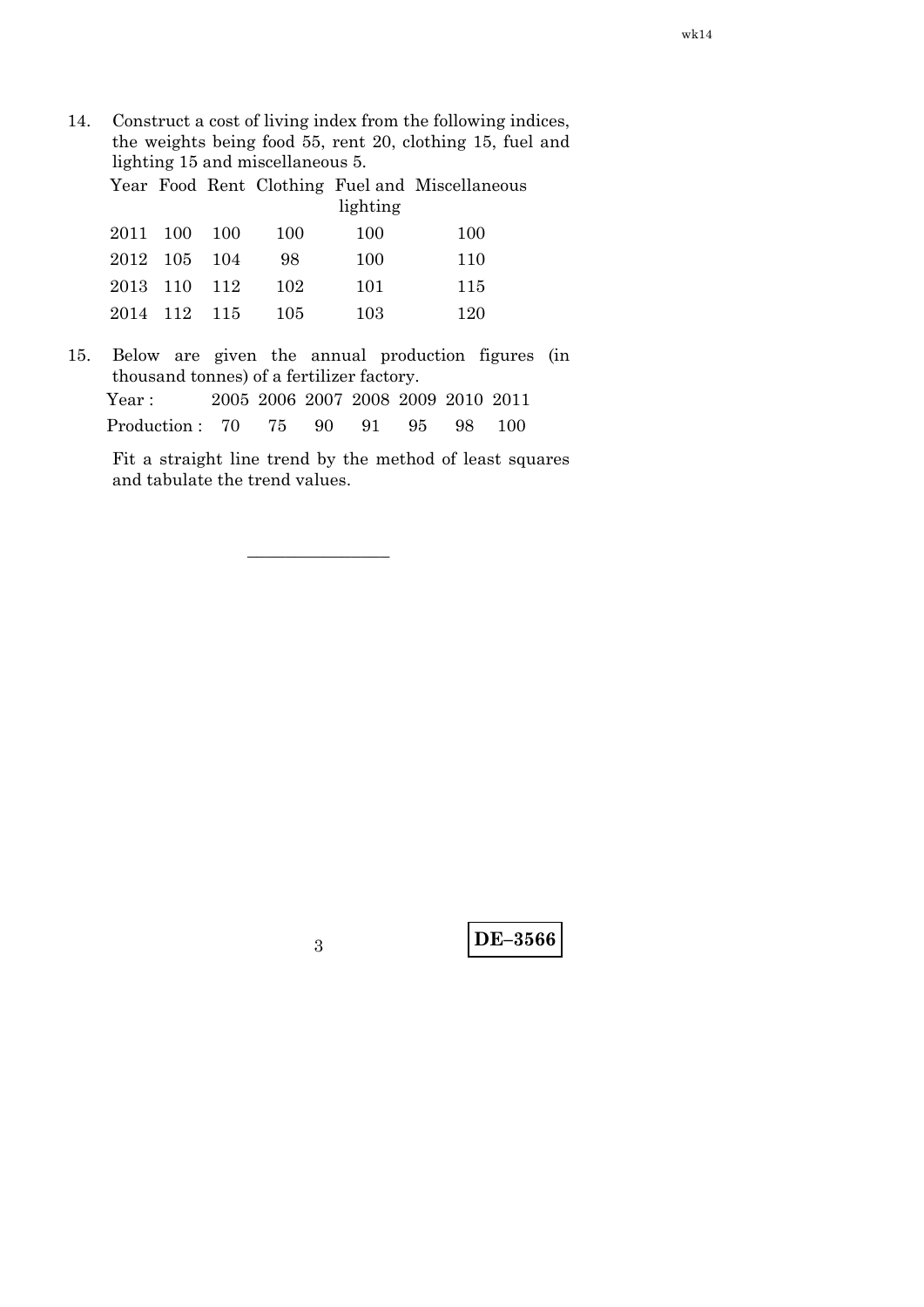14. Construct a cost of living index from the following indices, the weights being food 55, rent 20, clothing 15, fuel and lighting 15 and miscellaneous 5.

Year Food Rent Clothing Fuel and Miscellaneous lighting

|              |  |     | $n_{\rm S}$ mung |     |
|--------------|--|-----|------------------|-----|
| 2011 100 100 |  | 100 | 100              | 100 |
| 2012 105 104 |  | 98  | 100              | 110 |
| 2013 110 112 |  | 102 | 101              | 115 |
| 2014 112 115 |  | 105 | 103              | 120 |

15. Below are given the annual production figures (in thousand tonnes) of a fertilizer factory.

| Year :                            |  |  |  | 2005 2006 2007 2008 2009 2010 2011 |
|-----------------------------------|--|--|--|------------------------------------|
| Production: 70 75 90 91 95 98 100 |  |  |  |                                    |

–––––––––––––––

 Fit a straight line trend by the method of least squares and tabulate the trend values.

**DE–3566** <sup>3</sup>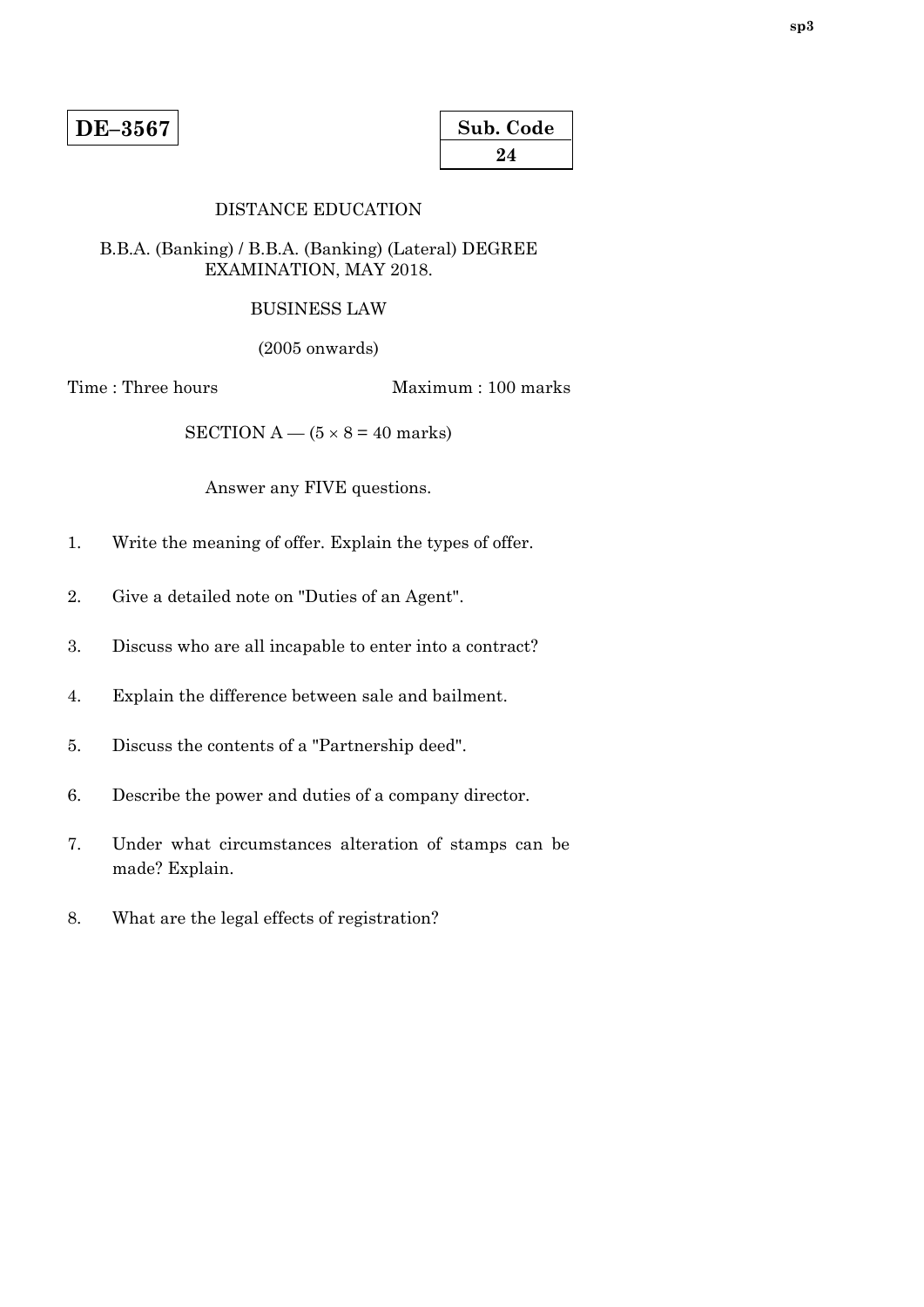| Sub. Code |  |
|-----------|--|
| 24        |  |

### DISTANCE EDUCATION

### B.B.A. (Banking) / B.B.A. (Banking) (Lateral) DEGREE EXAMINATION, MAY 2018.

#### BUSINESS LAW

(2005 onwards)

Time : Three hours Maximum : 100 marks

SECTION A —  $(5 \times 8 = 40$  marks)

Answer any FIVE questions.

- 1. Write the meaning of offer. Explain the types of offer.
- 2. Give a detailed note on "Duties of an Agent".
- 3. Discuss who are all incapable to enter into a contract?
- 4. Explain the difference between sale and bailment.
- 5. Discuss the contents of a "Partnership deed".
- 6. Describe the power and duties of a company director.
- 7. Under what circumstances alteration of stamps can be made? Explain.
- 8. What are the legal effects of registration?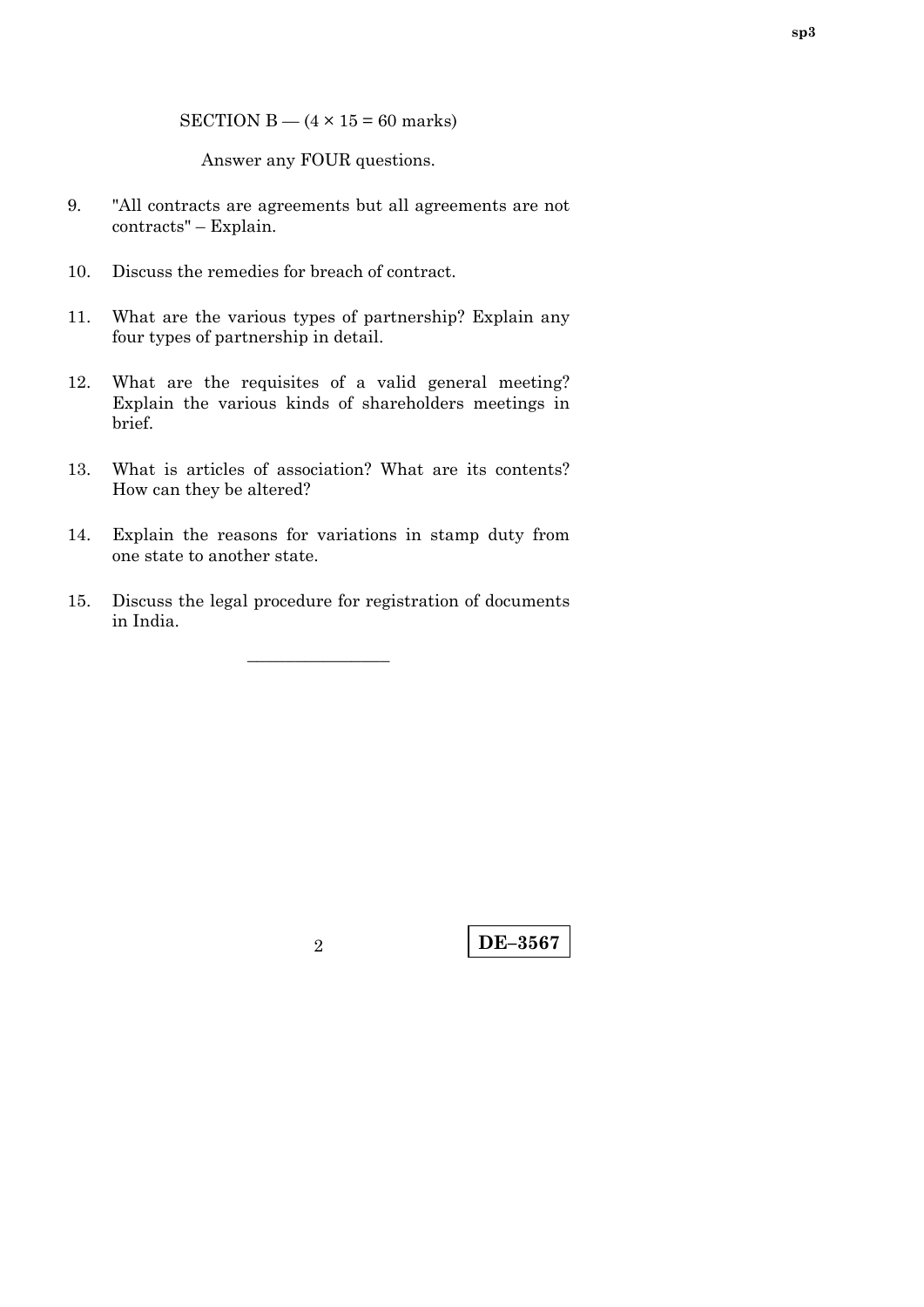SECTION B  $-$  (4  $\times$  15 = 60 marks)

Answer any FOUR questions.

- 9. "All contracts are agreements but all agreements are not contracts" – Explain.
- 10. Discuss the remedies for breach of contract.
- 11. What are the various types of partnership? Explain any four types of partnership in detail.
- 12. What are the requisites of a valid general meeting? Explain the various kinds of shareholders meetings in brief.
- 13. What is articles of association? What are its contents? How can they be altered?
- 14. Explain the reasons for variations in stamp duty from one state to another state.
- 15. Discuss the legal procedure for registration of documents in India.

–––––––––––––––

**DE–3567** <sup>2</sup>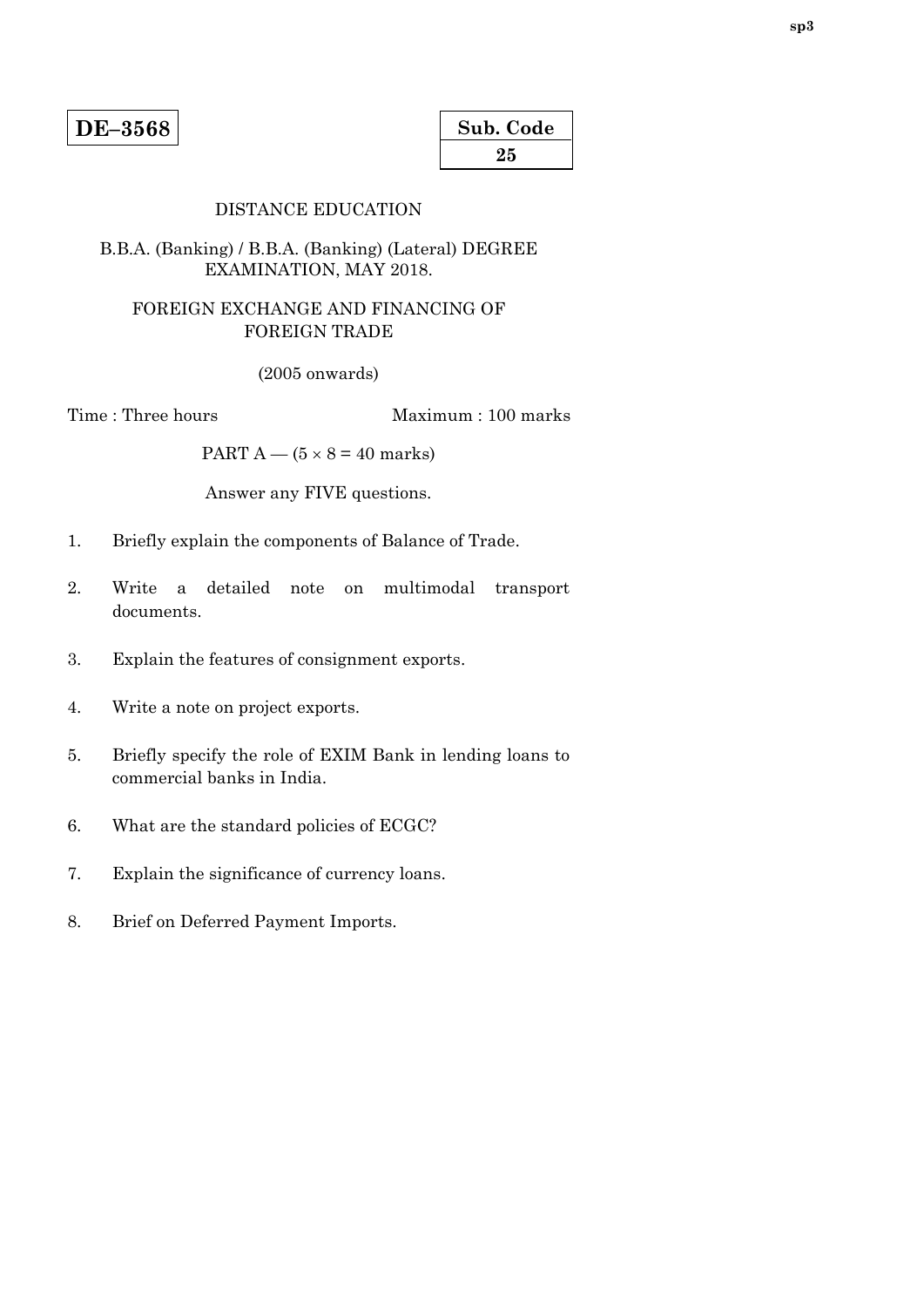| Sub. Code |  |
|-----------|--|
| 25        |  |

### DISTANCE EDUCATION

### B.B.A. (Banking) / B.B.A. (Banking) (Lateral) DEGREE EXAMINATION, MAY 2018.

# FOREIGN EXCHANGE AND FINANCING OF FOREIGN TRADE

(2005 onwards)

Time : Three hours Maximum : 100 marks

PART  $A - (5 \times 8 = 40$  marks)

Answer any FIVE questions.

- 1. Briefly explain the components of Balance of Trade.
- 2. Write a detailed note on multimodal transport documents.
- 3. Explain the features of consignment exports.
- 4. Write a note on project exports.
- 5. Briefly specify the role of EXIM Bank in lending loans to commercial banks in India.
- 6. What are the standard policies of ECGC?
- 7. Explain the significance of currency loans.
- 8. Brief on Deferred Payment Imports.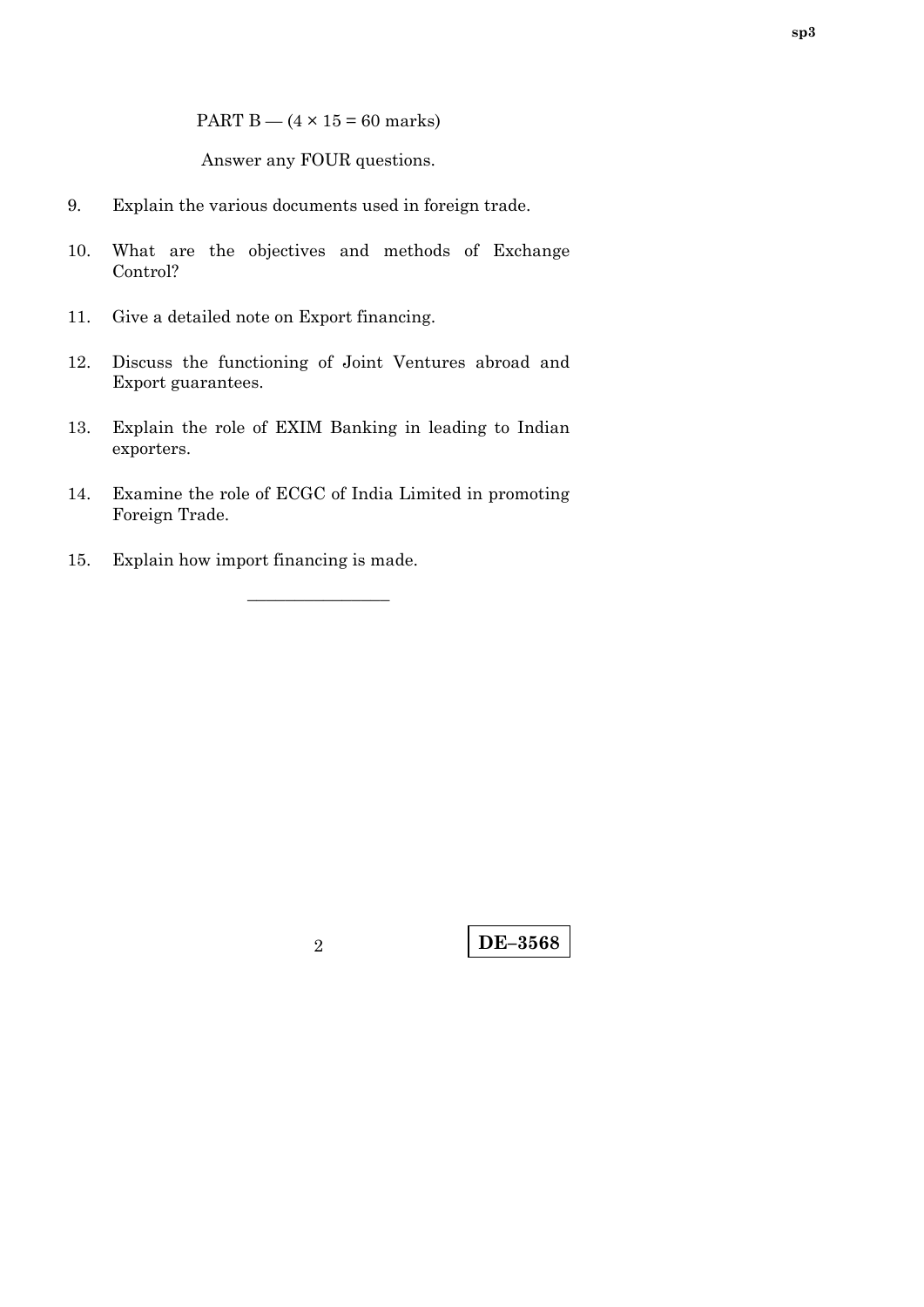PART  $B - (4 \times 15 = 60$  marks)

Answer any FOUR questions.

- 9. Explain the various documents used in foreign trade.
- 10. What are the objectives and methods of Exchange Control?
- 11. Give a detailed note on Export financing.
- 12. Discuss the functioning of Joint Ventures abroad and Export guarantees.
- 13. Explain the role of EXIM Banking in leading to Indian exporters.
- 14. Examine the role of ECGC of India Limited in promoting Foreign Trade.

–––––––––––––––

15. Explain how import financing is made.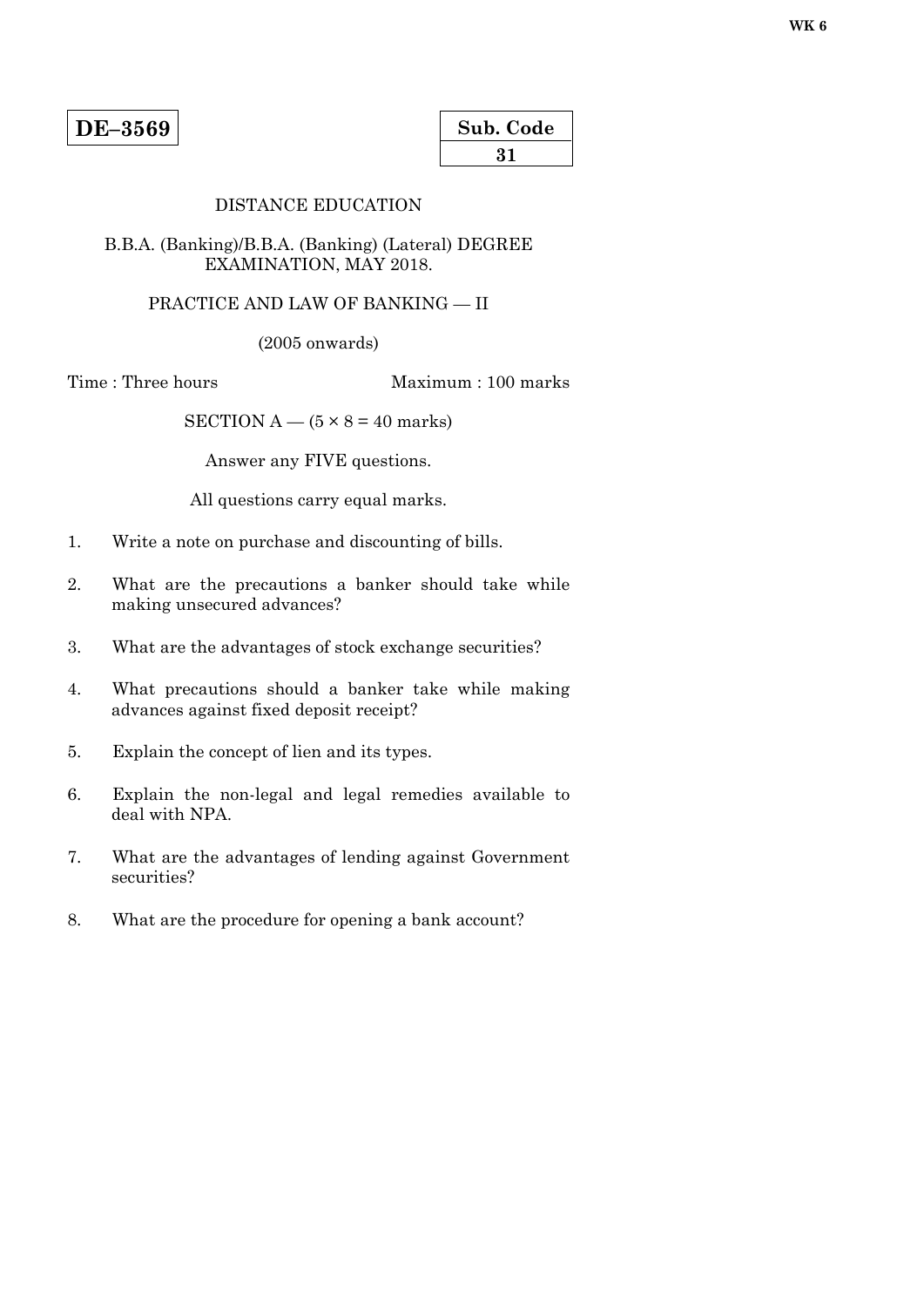| Sub. Code |  |
|-----------|--|
| 31        |  |

### DISTANCE EDUCATION

#### B.B.A. (Banking)/B.B.A. (Banking) (Lateral) DEGREE EXAMINATION, MAY 2018.

### PRACTICE AND LAW OF BANKING — II

(2005 onwards)

Time : Three hours Maximum : 100 marks

SECTION A —  $(5 \times 8 = 40$  marks)

Answer any FIVE questions.

All questions carry equal marks.

- 1. Write a note on purchase and discounting of bills.
- 2. What are the precautions a banker should take while making unsecured advances?
- 3. What are the advantages of stock exchange securities?
- 4. What precautions should a banker take while making advances against fixed deposit receipt?
- 5. Explain the concept of lien and its types.
- 6. Explain the non-legal and legal remedies available to deal with NPA.
- 7. What are the advantages of lending against Government securities?
- 8. What are the procedure for opening a bank account?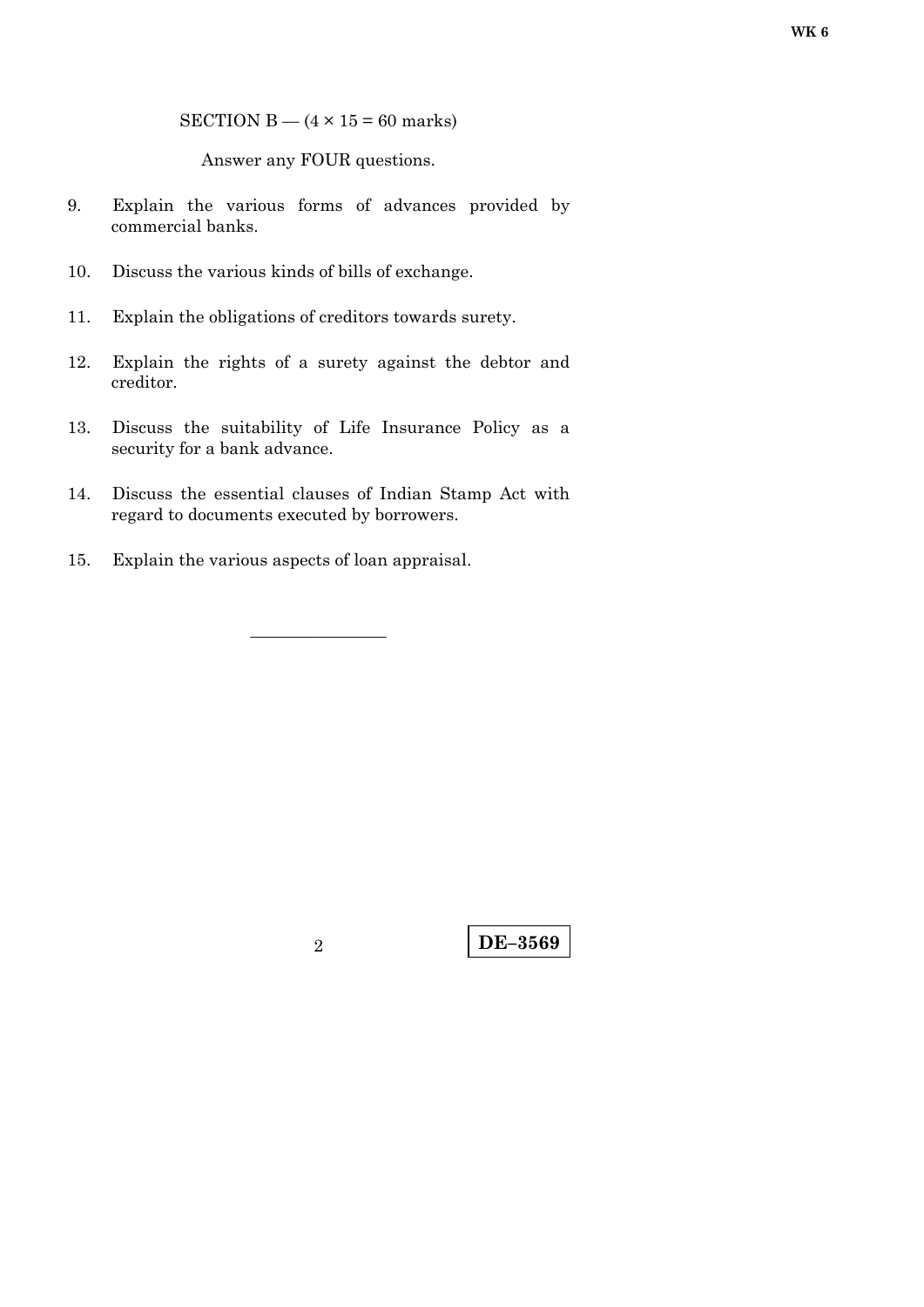Answer any FOUR questions.

- 9. Explain the various forms of advances provided by commercial banks.
- 10. Discuss the various kinds of bills of exchange.
- 11. Explain the obligations of creditors towards surety.
- 12. Explain the rights of a surety against the debtor and creditor.
- 13. Discuss the suitability of Life Insurance Policy as a security for a bank advance.
- 14. Discuss the essential clauses of Indian Stamp Act with regard to documents executed by borrowers.

————————

15. Explain the various aspects of loan appraisal.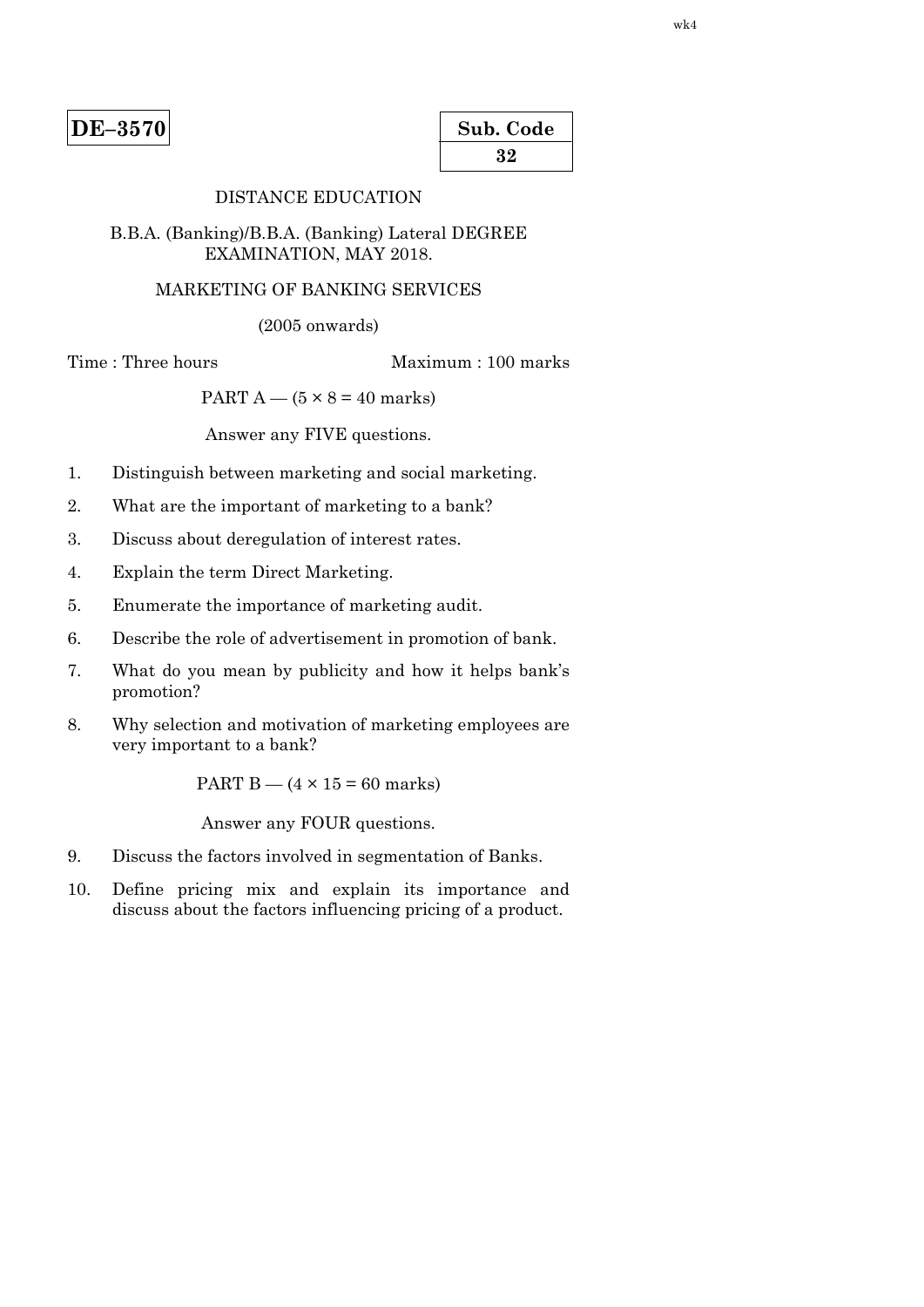| $DE-3570$ |
|-----------|
|-----------|

| Sub. Code |  |
|-----------|--|
| 32        |  |

### DISTANCE EDUCATION

#### B.B.A. (Banking)/B.B.A. (Banking) Lateral DEGREE EXAMINATION, MAY 2018.

# MARKETING OF BANKING SERVICES

(2005 onwards)

Time : Three hours Maximum : 100 marks

PART  $A - (5 \times 8 = 40$  marks)

Answer any FIVE questions.

- 1. Distinguish between marketing and social marketing.
- 2. What are the important of marketing to a bank?
- 3. Discuss about deregulation of interest rates.
- 4. Explain the term Direct Marketing.
- 5. Enumerate the importance of marketing audit.
- 6. Describe the role of advertisement in promotion of bank.
- 7. What do you mean by publicity and how it helps bank's promotion?
- 8. Why selection and motivation of marketing employees are very important to a bank?

PART  $B - (4 \times 15 = 60$  marks)

- 9. Discuss the factors involved in segmentation of Banks.
- 10. Define pricing mix and explain its importance and discuss about the factors influencing pricing of a product.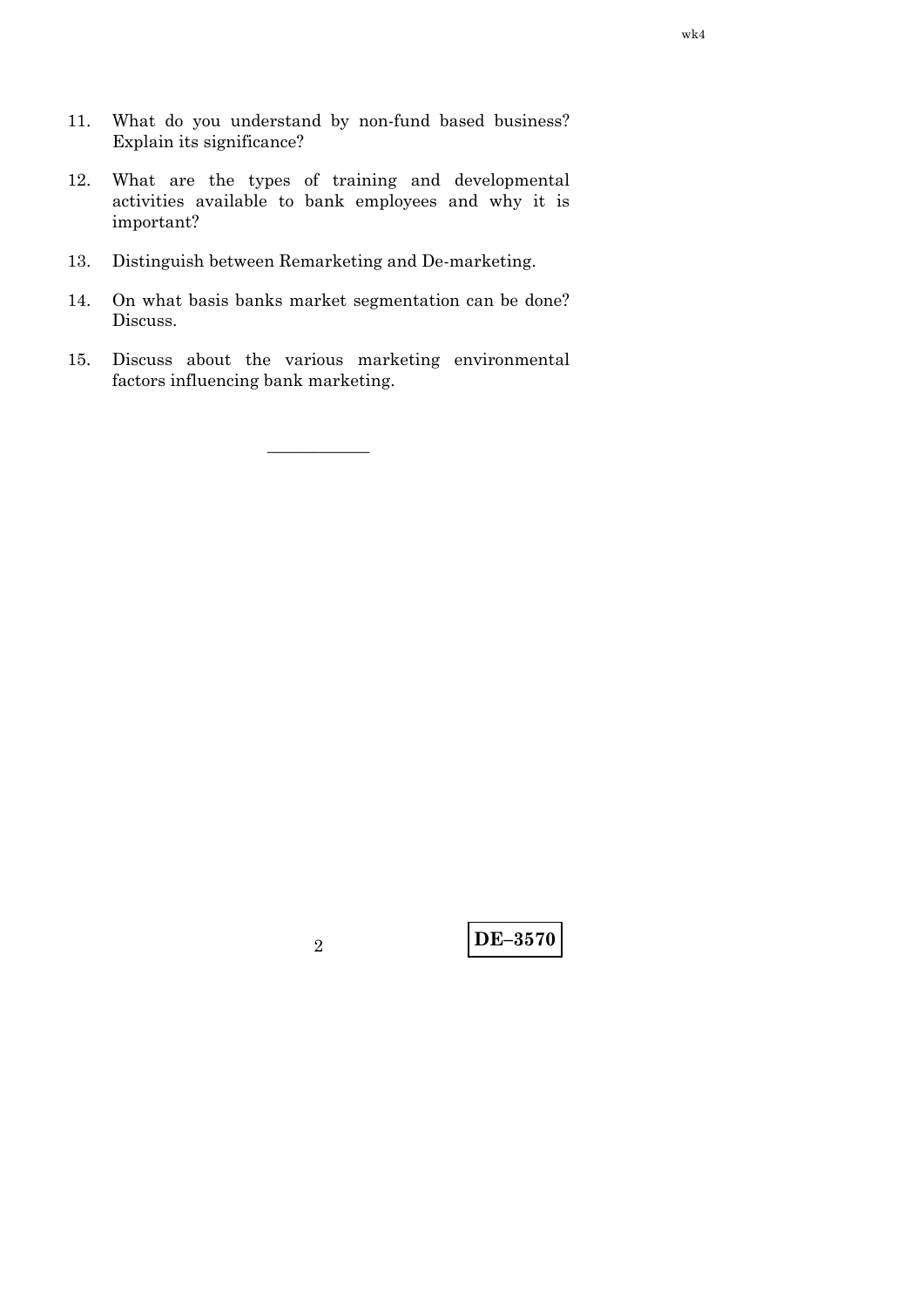- 11. What do you understand by non-fund based business? Explain its significance?
- 12. What are the types of training and developmental activities available to bank employees and why it is important?
- 13. Distinguish between Remarketing and De-marketing.
- 14. On what basis banks market segmentation can be done? Discuss.
- 15. Discuss about the various marketing environmental factors influencing bank marketing.

——————

**DE–3570** <sup>2</sup>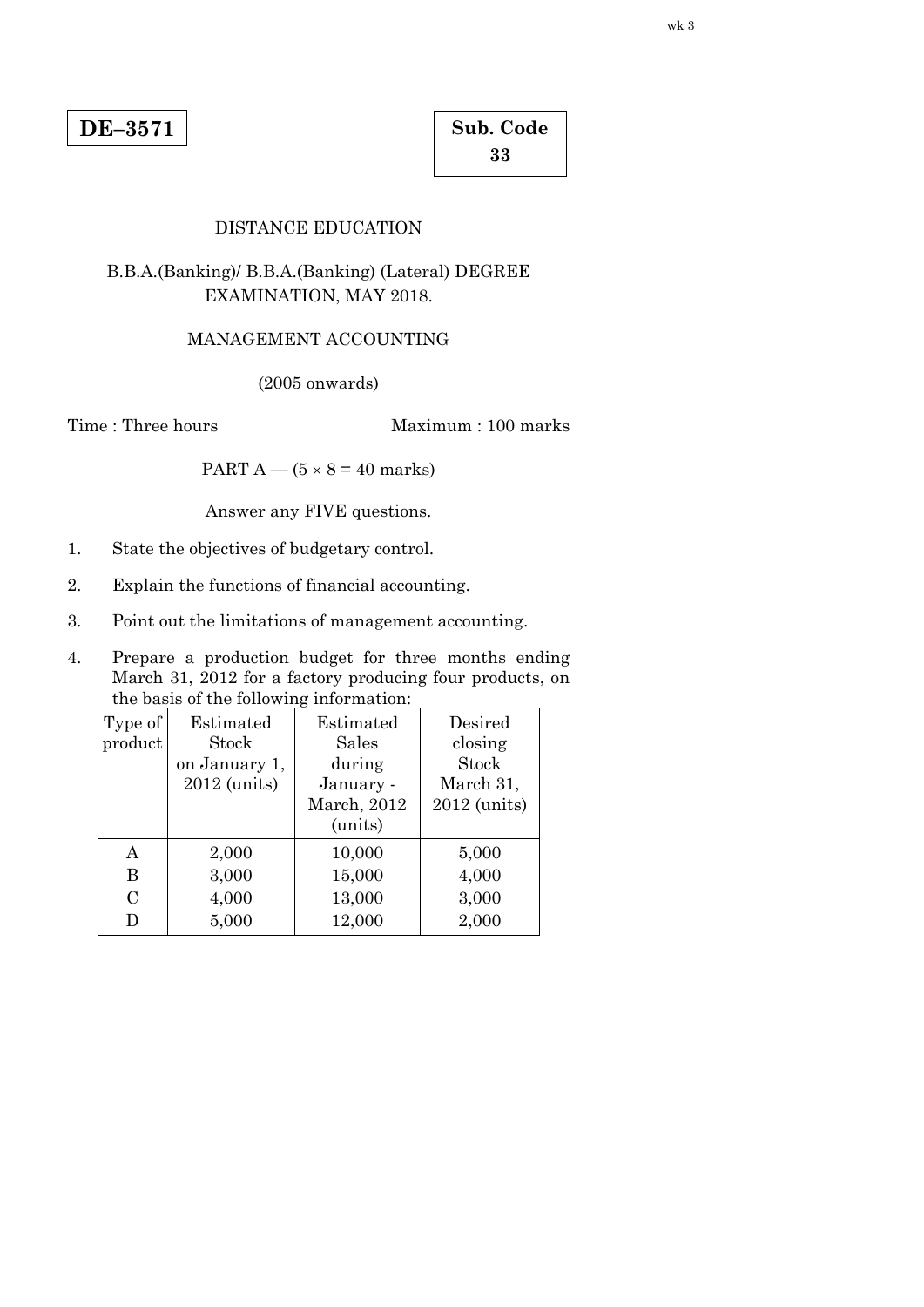| Sub. Code |  |
|-----------|--|
| 33        |  |

### DISTANCE EDUCATION

# B.B.A.(Banking)/ B.B.A.(Banking) (Lateral) DEGREE EXAMINATION, MAY 2018.

# MANAGEMENT ACCOUNTING

(2005 onwards)

Time : Three hours Maximum : 100 marks

PART  $A - (5 \times 8 = 40$  marks)

Answer any FIVE questions.

- 1. State the objectives of budgetary control.
- 2. Explain the functions of financial accounting.
- 3. Point out the limitations of management accounting.
- 4. Prepare a production budget for three months ending March 31, 2012 for a factory producing four products, on the basis of the following information:

| Type of        | Estimated     | Estimated    | Desired      |
|----------------|---------------|--------------|--------------|
| product        | Stock         | <b>Sales</b> | closing      |
|                | on January 1, | during       | Stock        |
|                | 2012 (units)  | January -    | March 31,    |
|                |               | March, 2012  | 2012 (units) |
|                |               | (units)      |              |
| A              | 2,000         | 10,000       | 5,000        |
| В              | 3,000         | 15,000       | 4,000        |
| $\overline{C}$ | 4,000         | 13,000       | 3,000        |
| D              | 5,000         | 12,000       | 2,000        |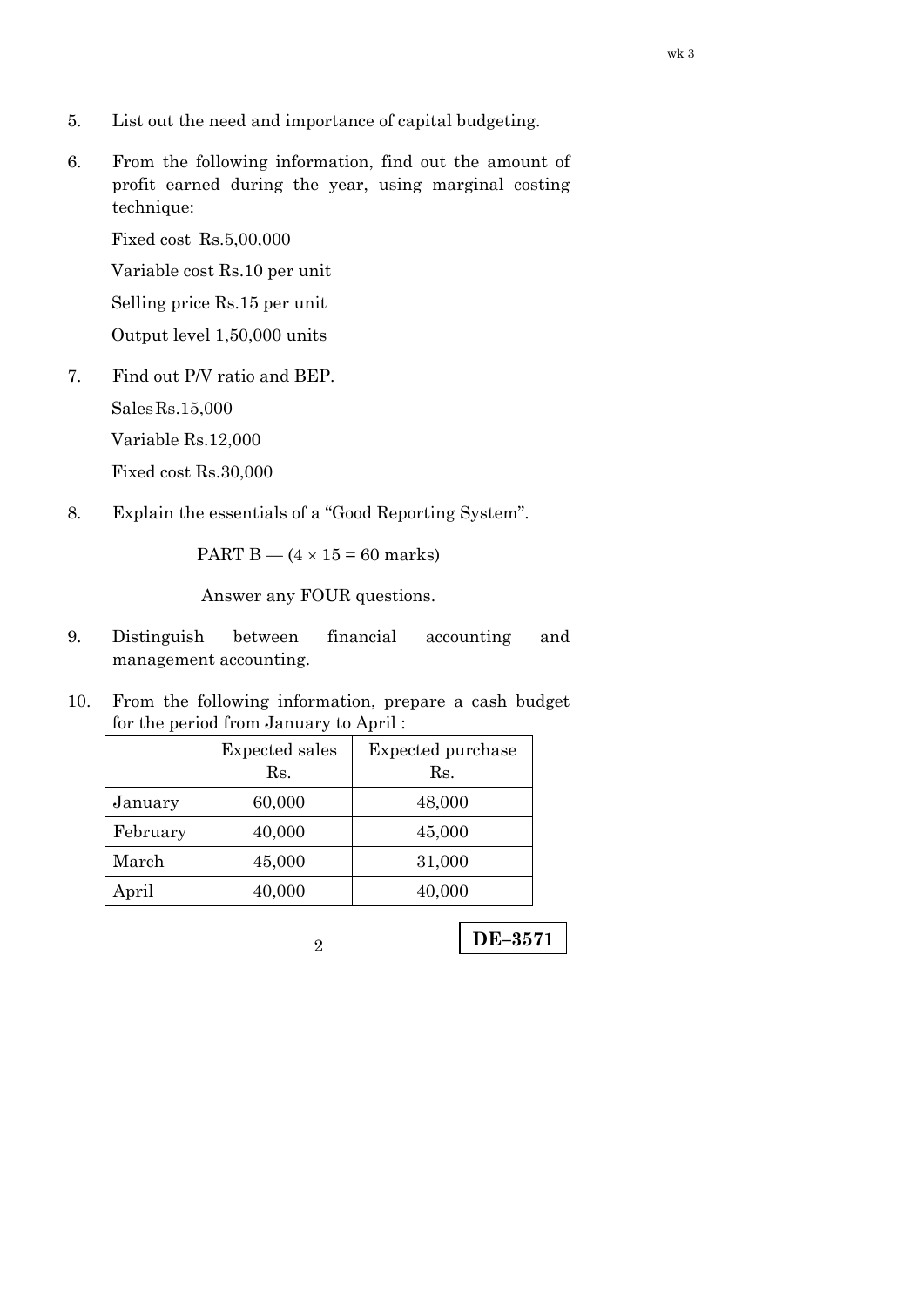- 5. List out the need and importance of capital budgeting.
- 6. From the following information, find out the amount of profit earned during the year, using marginal costing technique:

Fixed cost Rs.5,00,000

Variable cost Rs.10 per unit

Selling price Rs.15 per unit

Output level 1,50,000 units

7. Find out P/V ratio and BEP.

Sales Rs.15,000

Variable Rs.12,000

Fixed cost Rs.30,000

8. Explain the essentials of a "Good Reporting System".

PART B —  $(4 \times 15 = 60$  marks)

- 9. Distinguish between financial accounting and management accounting.
- 10. From the following information, prepare a cash budget for the period from January to April :

|          | Expected sales<br>Rs. | Expected purchase<br>Rs. |
|----------|-----------------------|--------------------------|
| January  | 60,000                | 48,000                   |
| February | 40,000                | 45,000                   |
| March    | 45,000                | 31,000                   |
| April    | 40,000                | 40,000                   |
|          |                       |                          |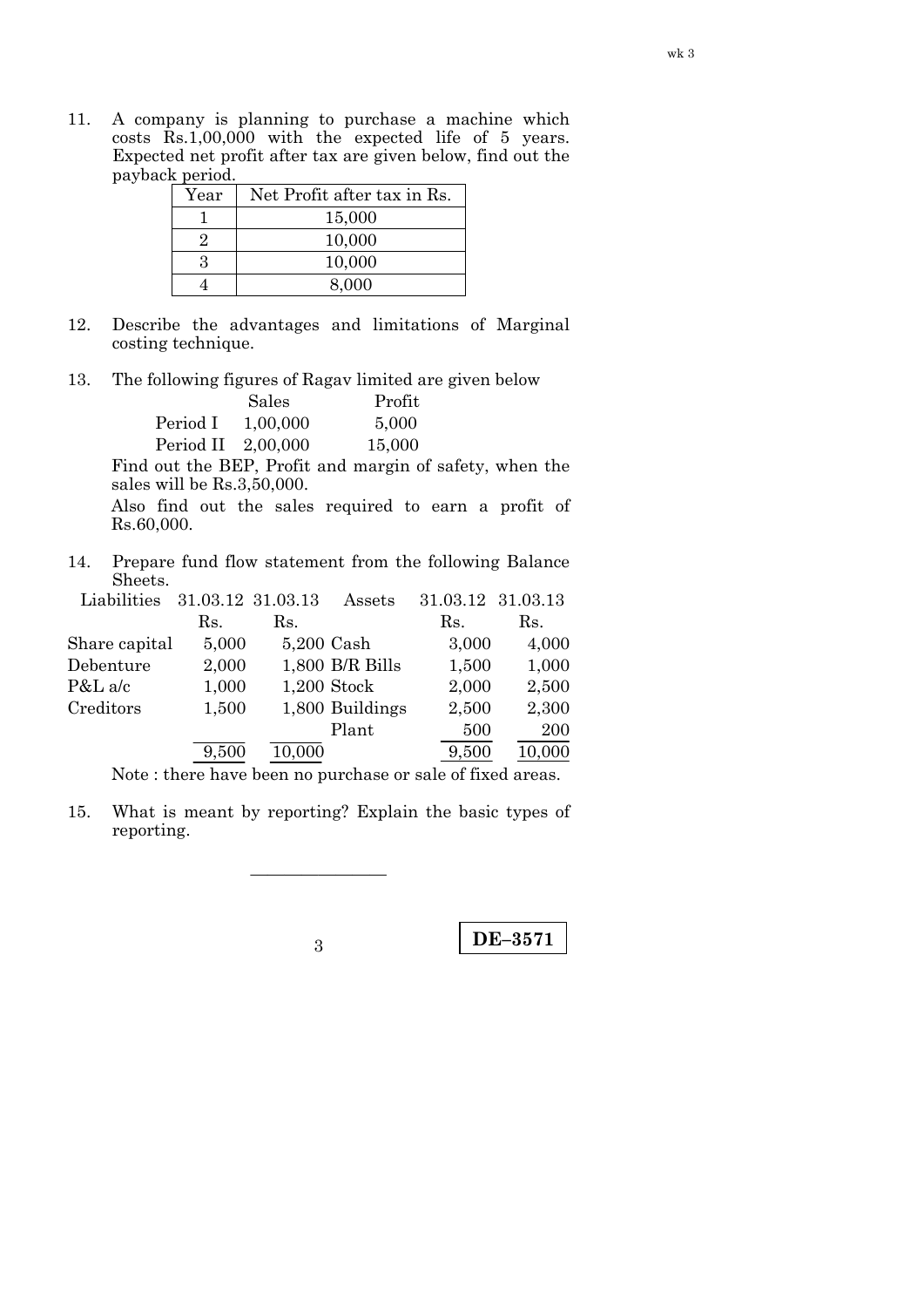11. A company is planning to purchase a machine which costs Rs.1,00,000 with the expected life of 5 years. Expected net profit after tax are given below, find out the payback period.

| Year | Net Profit after tax in Rs. |
|------|-----------------------------|
|      | 15,000                      |
|      | 10,000                      |
|      | 10,000                      |
|      | 8.000                       |

- 12. Describe the advantages and limitations of Marginal costing technique.
- 13. The following figures of Ragav limited are given below

|                    | Sales    | Profit |
|--------------------|----------|--------|
| Period I           | 1,00,000 | 5,000  |
| Period II 2,00,000 |          | 15,000 |

 Find out the BEP, Profit and margin of safety, when the sales will be Rs.3,50,000.

 Also find out the sales required to earn a profit of Rs.60,000.

14. Prepare fund flow statement from the following Balance Sheets.

| Liabilities   | 31.03.12 31.03.13 |            | Assets          | 31.03.12 31.03.13 |        |
|---------------|-------------------|------------|-----------------|-------------------|--------|
|               | Rs.               | Rs.        |                 | Rs.               | Rs.    |
| Share capital | 5,000             | 5,200 Cash |                 | 3,000             | 4,000  |
| Debenture     | 2,000             |            | 1,800 B/R Bills | 1,500             | 1,000  |
| $P&L$ a/c     | 1,000             |            | $1,200$ Stock   | 2,000             | 2,500  |
| Creditors     | 1,500             |            | 1,800 Buildings | 2,500             | 2,300  |
|               |                   |            | Plant           | 500               | 200    |
|               | 9,500             | 10,000     |                 | 9,500             | 10,000 |

Note : there have been no purchase or sale of fixed areas.

15. What is meant by reporting? Explain the basic types of reporting.

————————

**DE–3571** <sup>3</sup>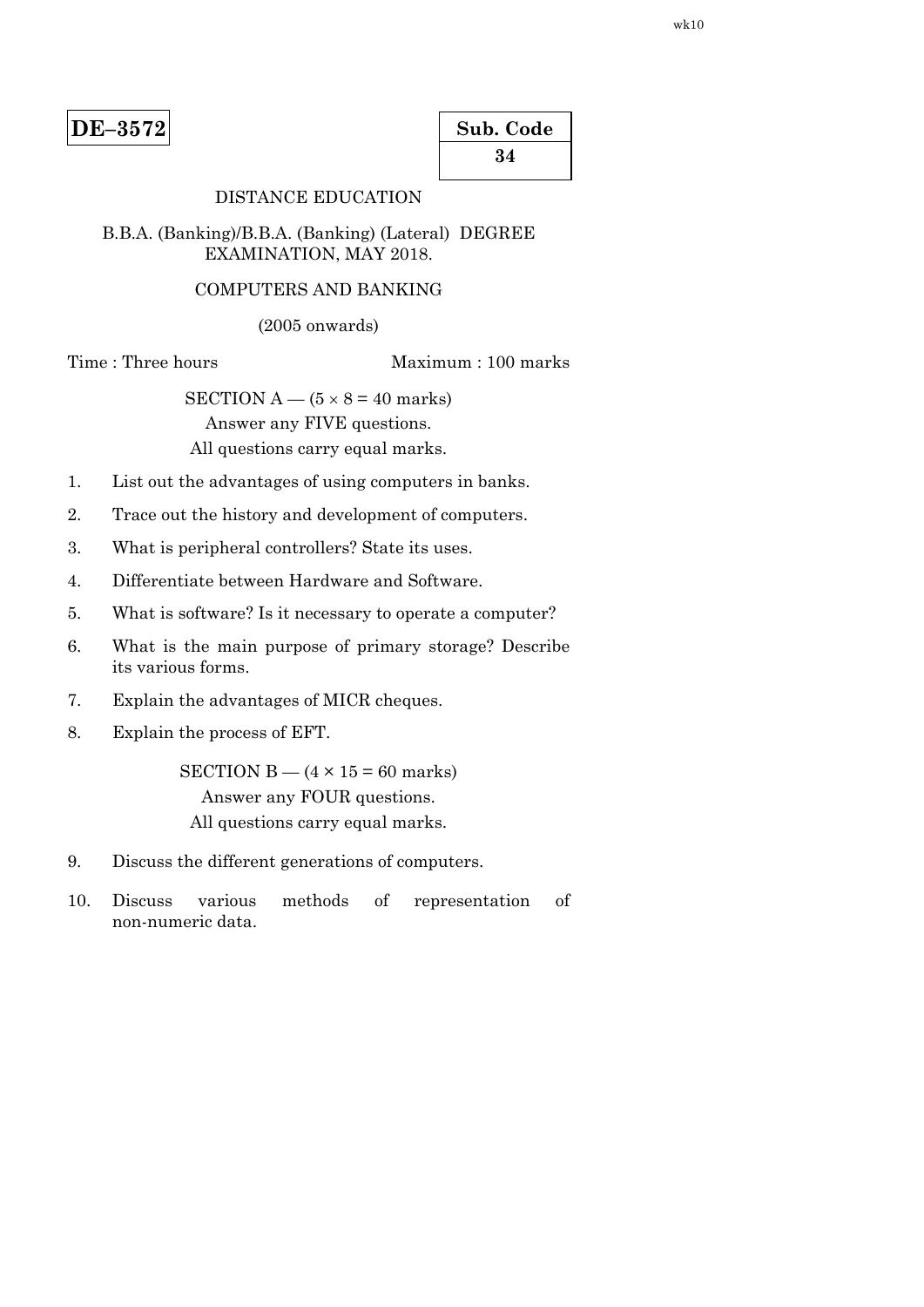| Sub. Code |  |
|-----------|--|
| 34        |  |

# DISTANCE EDUCATION

### B.B.A. (Banking)/B.B.A. (Banking) (Lateral) DEGREE EXAMINATION, MAY 2018.

### COMPUTERS AND BANKING

(2005 onwards)

Time : Three hours Maximum : 100 marks

SECTION  $A - (5 \times 8 = 40$  marks) Answer any FIVE questions. All questions carry equal marks.

- 1. List out the advantages of using computers in banks.
- 2. Trace out the history and development of computers.
- 3. What is peripheral controllers? State its uses.
- 4. Differentiate between Hardware and Software.
- 5. What is software? Is it necessary to operate a computer?
- 6. What is the main purpose of primary storage? Describe its various forms.
- 7. Explain the advantages of MICR cheques.
- 8. Explain the process of EFT.

SECTION  $B - (4 \times 15 = 60$  marks) Answer any FOUR questions. All questions carry equal marks.

- 9. Discuss the different generations of computers.
- 10. Discuss various methods of representation of non-numeric data.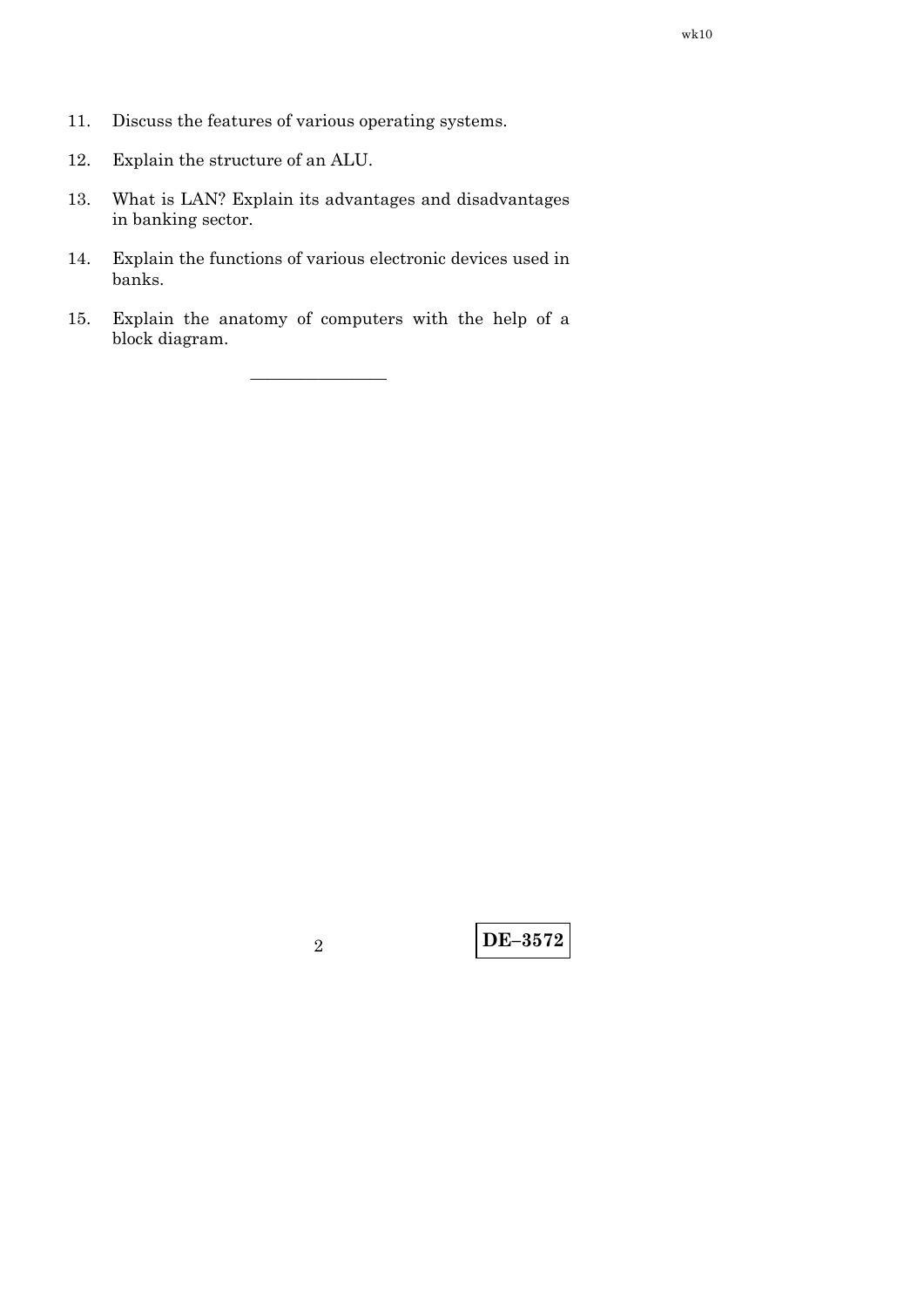- 11. Discuss the features of various operating systems.
- 12. Explain the structure of an ALU.
- 13. What is LAN? Explain its advantages and disadvantages in banking sector.
- 14. Explain the functions of various electronic devices used in banks.
- 15. Explain the anatomy of computers with the help of a block diagram.

————————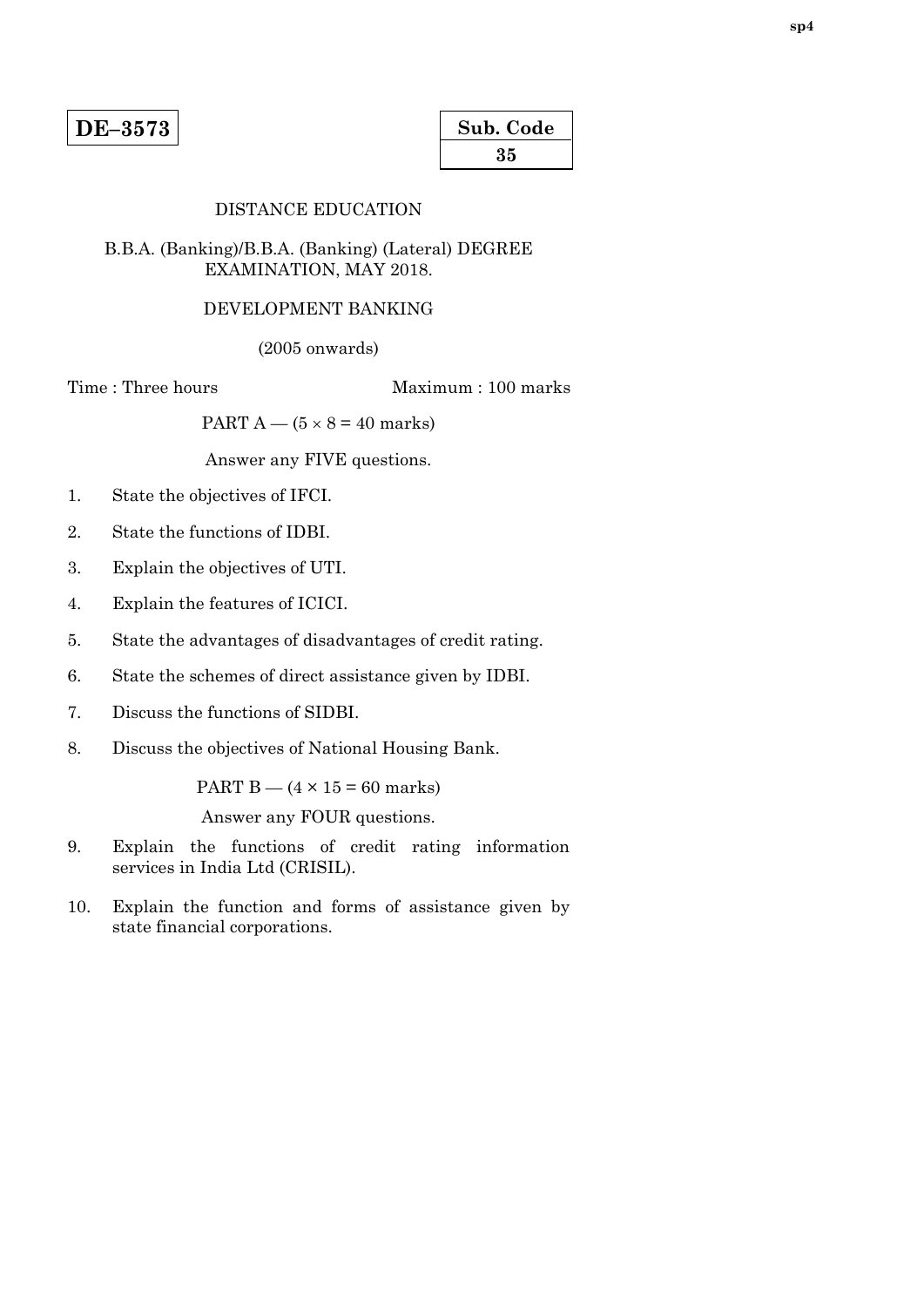| Sub. Code |  |
|-----------|--|
| 35        |  |

## DISTANCE EDUCATION

### B.B.A. (Banking)/B.B.A. (Banking) (Lateral) DEGREE EXAMINATION, MAY 2018.

#### DEVELOPMENT BANKING

(2005 onwards)

Time : Three hours Maximum : 100 marks

PART  $A - (5 \times 8 = 40$  marks)

Answer any FIVE questions.

- 1. State the objectives of IFCI.
- 2. State the functions of IDBI.
- 3. Explain the objectives of UTI.
- 4. Explain the features of ICICI.
- 5. State the advantages of disadvantages of credit rating.
- 6. State the schemes of direct assistance given by IDBI.
- 7. Discuss the functions of SIDBI.
- 8. Discuss the objectives of National Housing Bank.

PART  $B - (4 \times 15 = 60$  marks)

- 9. Explain the functions of credit rating information services in India Ltd (CRISIL).
- 10. Explain the function and forms of assistance given by state financial corporations.